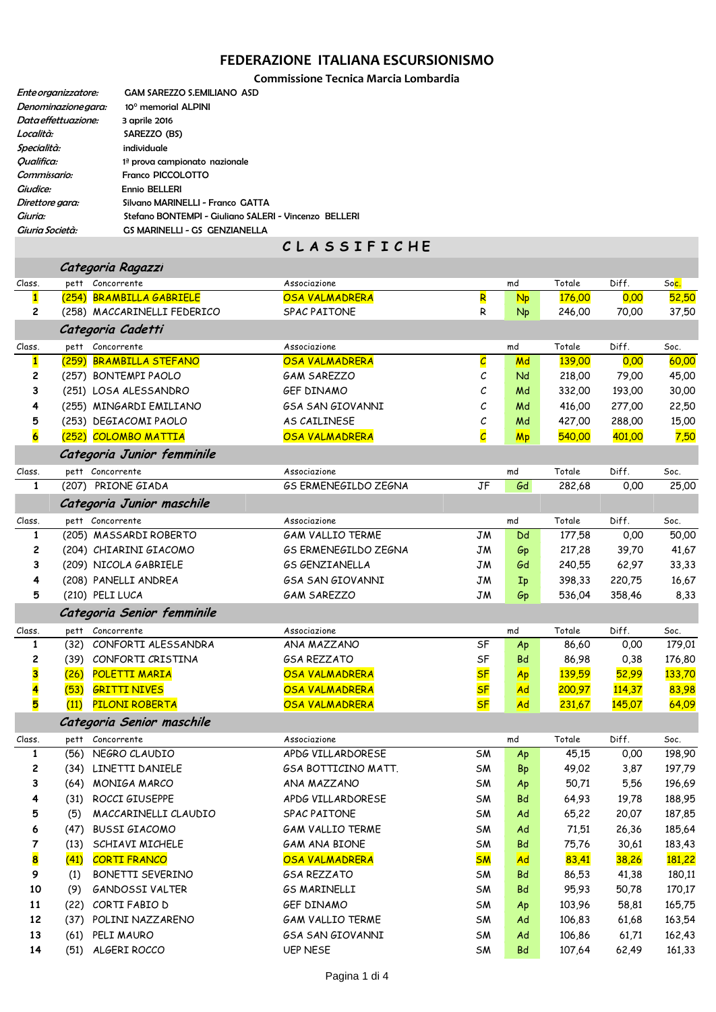## **FEDERAZIONE ITALIANA ESCURSIONISMO**

**Commissione Tecnica Marcia Lombardia**

| Ente organizzatore:      | <b>GAM SAREZZO S.EMILIANO ASD</b>                     |
|--------------------------|-------------------------------------------------------|
| Denominazione aara:      | 10° memorial ALPINI                                   |
| Data effettuazione:      | 3 aprile 2016                                         |
| Località:                | SAREZZO (BS)                                          |
| Specialità:              | individuale                                           |
| <i><b>Oualifica:</b></i> | 1ª prova campionato nazionale                         |
| Commissario:             | Franco PICCOLOTTO                                     |
| <i>Giudice:</i>          | Ennio BELLERI                                         |
| Direttore gara:          | Silvano MARINELLI - Franco GATTA                      |
| Giuria:                  | Stefano BONTEMPI - Giuliano SALERI - Vincenzo BELLERI |
| Giuria Società:          | GS MARINELLI - GS GENZIANELLA                         |
|                          |                                                       |

|  |  | C L A S S I F I C H E |  |  |  |  |  |  |  |  |
|--|--|-----------------------|--|--|--|--|--|--|--|--|
|--|--|-----------------------|--|--|--|--|--|--|--|--|

|                         |       | Categoria Ragazzi           |                             |                          |           |        |               |               |
|-------------------------|-------|-----------------------------|-----------------------------|--------------------------|-----------|--------|---------------|---------------|
| Class.                  |       | pett Concorrente            | Associazione                |                          | md        | Totale | Diff.         | Soc.          |
| $\mathbf{1}$            |       | (254) BRAMBILLA GABRIELE    | <b>OSA VALMADRERA</b>       | R                        | Np        | 176,00 | 0,00          | 52,50         |
| 2                       |       | (258) MACCARINELLI FEDERICO | <b>SPAC PAITONE</b>         | R                        | <b>Np</b> | 246,00 | 70,00         | 37,50         |
|                         |       | Categoria Cadetti           |                             |                          |           |        |               |               |
| Class.                  |       | pett Concorrente            | Associazione                |                          | md        | Totale | Diff.         | Soc.          |
| $\mathbf{1}$            | (259) | <b>BRAMBILLA STEFANO</b>    | <b>OSA VALMADRERA</b>       | $\overline{\mathcal{C}}$ | Md        | 139,00 | 0,00          | 60,00         |
| 2                       |       | (257) BONTEMPI PAOLO        | <b>GAM SAREZZO</b>          | С                        | Nd        | 218,00 | 79,00         | 45,00         |
| З                       |       | (251) LOSA ALESSANDRO       | <b>GEF DINAMO</b>           | С                        | Md        | 332,00 | 193,00        | 30,00         |
| 4                       |       | (255) MINGARDI EMILIANO     | <b>GSA SAN GIOVANNI</b>     | С                        | Md        | 416,00 | 277,00        | 22,50         |
| 5                       |       | (253) DEGIACOMI PAOLO       | AS CAILINESE                | с                        | Md        | 427,00 | 288,00        | 15,00         |
| $\overline{\mathbf{6}}$ |       | (252) COLOMBO MATTIA        | <b>OSA VALMADRERA</b>       | $\overline{\mathcal{C}}$ | <b>Mp</b> | 540,00 | 401,00        | 7,50          |
|                         |       | Categoria Junior femminile  |                             |                          |           |        |               |               |
| Class.                  |       | pett Concorrente            | Associazione                |                          | md        | Totale | Diff.         | Soc.          |
| $\mathbf{1}$            |       | (207) PRIONE GIADA          | <b>GS ERMENEGILDO ZEGNA</b> | JF                       | Gd        | 282,68 | 0,00          | 25,00         |
|                         |       | Categoria Junior maschile   |                             |                          |           |        |               |               |
| Class.                  |       | pett Concorrente            | Associazione                |                          | md        | Totale | Diff.         | Soc.          |
| $\mathbf{1}$            |       | (205) MASSARDI ROBERTO      | <b>GAM VALLIO TERME</b>     | <b>JM</b>                | Dd        | 177,58 | 0,00          | 50,00         |
| 2                       |       | (204) CHIARINI GIACOMO      | <b>GS ERMENEGILDO ZEGNA</b> | JM                       | Gp        | 217,28 | 39,70         | 41,67         |
| 3                       |       | (209) NICOLA GABRIELE       | <b>GS GENZIANELLA</b>       | JM                       | Gd        | 240,55 | 62,97         | 33,33         |
| 4                       |       | (208) PANELLI ANDREA        | <b>GSA SAN GIOVANNI</b>     | JM                       | Ip        | 398,33 | 220,75        | 16,67         |
| 5                       |       | (210) PELI LUCA             | <b>GAM SAREZZO</b>          | JM                       | Gp        | 536,04 | 358,46        | 8,33          |
|                         |       | Categoria Senior femminile  |                             |                          |           |        |               |               |
| Class.                  |       | pett Concorrente            | Associazione                |                          | md        | Totale | Diff.         | Soc.          |
| $\mathbf{1}$            | (32)  | CONFORTI ALESSANDRA         | ANA MAZZANO                 | SF                       | Ap        | 86,60  | 0,00          | 179,01        |
| 2                       |       | (39) CONFORTI CRISTINA      | <b>GSA REZZATO</b>          | SF                       | <b>Bd</b> | 86,98  | 0,38          | 176,80        |
| 3                       | (26)  | <b>POLETTI MARIA</b>        | <b>OSA VALMADRERA</b>       | <b>SF</b>                | Ap        | 139,59 | 52,99         | 133,70        |
| 4                       | (53)  | <b>GRITTI NIVES</b>         | OSA VALMADRERA              | <b>SF</b>                | Ad        | 200,97 | <b>114,37</b> | 83,98         |
| 5                       | (11)  | PILONI ROBERTA              | OSA VALMADRERA              | <b>SF</b>                | Ad        | 231,67 | 145,07        | 64,09         |
|                         |       | Categoria Senior maschile   |                             |                          |           |        |               |               |
| Class.                  | pett  | Concorrente                 | Associazione                |                          | md        | Totale | Diff.         | Soc.          |
| 1                       |       | (56) NEGRO CLAUDIO          | APDG VILLARDORESE           | <b>SM</b>                | Ap        | 45,15  | 0,00          | 198,90        |
| 2                       |       | (34) LINETTI DANIELE        | GSA BOTTICINO MATT.         | SM                       | <b>Bp</b> | 49,02  | 3,87          | 197,79        |
| 3                       |       | (64) MONIGA MARCO           | ANA MAZZANO                 | <b>SM</b>                | Ap        | 50,71  | 5,56          | 196,69        |
| 4                       | (31)  | ROCCI GIUSEPPE              | APDG VILLARDORESE           | SM                       | Bd        | 64,93  | 19,78         | 188,95        |
| 5                       | (5)   | MACCARINELLI CLAUDIO        | SPAC PAITONE                | SM                       | Ad        | 65,22  | 20,07         | 187,85        |
| 6                       | (47)  | <b>BUSSI GIACOMO</b>        | <b>GAM VALLIO TERME</b>     | SM                       | Ad        | 71,51  | 26,36         | 185,64        |
| 7                       | (13)  | SCHIAVI MICHELE             | GAM ANA BIONE               | SM                       | <b>Bd</b> | 75,76  | 30,61         | 183,43        |
| 8                       | (41)  | <b>CORTI FRANCO</b>         | OSA VALMADRERA              | <b>SM</b>                | <b>Ad</b> | 83,41  | 38,26         | <b>181,22</b> |
| 9                       | (1)   | <b>BONETTI SEVERINO</b>     | <b>GSA REZZATO</b>          | SM                       | <b>Bd</b> | 86,53  | 41,38         | 180,11        |
| 10                      | (9)   | GANDOSSI VALTER             | <b>GS MARINELLI</b>         | SM                       | Bd        | 95,93  | 50,78         | 170,17        |
| 11                      |       | (22) CORTI FABIO D          | GEF DINAMO                  | SM                       | Ap        | 103,96 | 58,81         | 165,75        |
| 12                      | (37)  | POLINI NAZZARENO            | <b>GAM VALLIO TERME</b>     | SM                       | Ad        | 106,83 | 61,68         | 163,54        |
| 13                      | (61)  | PELI MAURO                  | <b>GSA SAN GIOVANNI</b>     | SM                       | Ad        | 106,86 | 61,71         | 162,43        |
| 14                      | (51)  | ALGERI ROCCO                | <b>UEP NESE</b>             | SM                       | <b>Bd</b> | 107,64 | 62,49         | 161,33        |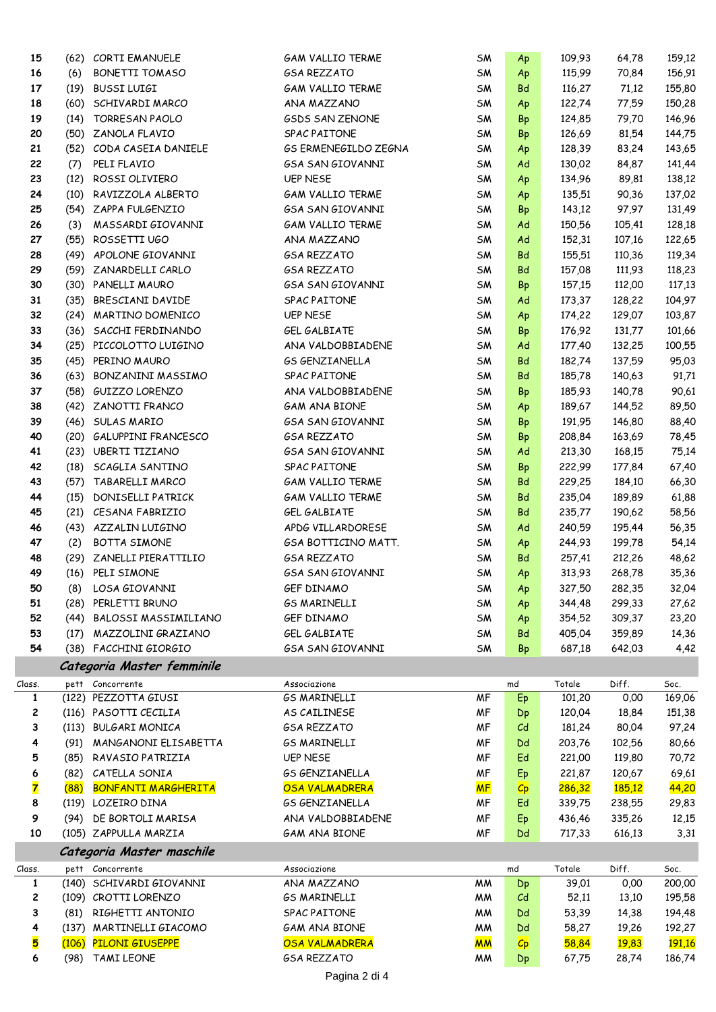| 15                      |      | (62) CORTI EMANUELE        | <b>GAM VALLIO TERME</b>     | SM        | Ap                 | 109,93 | 64,78         | 159,12        |
|-------------------------|------|----------------------------|-----------------------------|-----------|--------------------|--------|---------------|---------------|
| 16                      | (6)  | <b>BONETTI TOMASO</b>      | <b>GSA REZZATO</b>          | SM        | Ap                 | 115,99 | 70,84         | 156,91        |
| 17                      | (19) | <b>BUSSI LUIGI</b>         | <b>GAM VALLIO TERME</b>     | SM        | <b>Bd</b>          | 116,27 | 71,12         | 155,80        |
| 18                      |      | (60) SCHIVARDI MARCO       | ANA MAZZANO                 | SM        | Ap                 | 122,74 | 77,59         | 150,28        |
| 19                      |      | (14) TORRESAN PAOLO        | <b>GSDS SAN ZENONE</b>      | <b>SM</b> | <b>Bp</b>          | 124,85 | 79,70         | 146,96        |
| 20                      |      | (50) ZANOLA FLAVIO         | SPAC PAITONE                | SM        | <b>Bp</b>          | 126,69 | 81,54         | 144,75        |
| 21                      |      | (52) CODA CASEIA DANIELE   | <b>GS ERMENEGILDO ZEGNA</b> | SM        | Ap                 | 128,39 | 83,24         | 143,65        |
| 22                      | (7)  | PELI FLAVIO                | <b>GSA SAN GIOVANNI</b>     | SM        | Ad                 | 130,02 | 84,87         | 141,44        |
| 23                      | (12) | ROSSI OLIVIERO             | <b>UEP NESE</b>             | SM        | Ap                 | 134,96 | 89,81         | 138,12        |
| 24                      |      | (10) RAVIZZOLA ALBERTO     | <b>GAM VALLIO TERME</b>     | SM        | Ap                 | 135,51 | 90,36         | 137,02        |
| 25                      |      | (54) ZAPPA FULGENZIO       | <b>GSA SAN GIOVANNI</b>     | SM        | <b>Bp</b>          | 143,12 | 97,97         | 131,49        |
| 26                      | (3)  | MASSARDI GIOVANNI          | <b>GAM VALLIO TERME</b>     | SM        | Ad                 | 150,56 | 105,41        | 128,18        |
| 27                      | (55) | ROSSETTI UGO               | ANA MAZZANO                 | SM        | Ad                 | 152,31 | 107,16        | 122,65        |
| 28                      |      | (49) APOLONE GIOVANNI      | <b>GSA REZZATO</b>          | SM        | Bd                 | 155,51 | 110,36        | 119,34        |
| 29                      |      | (59) ZANARDELLI CARLO      | <b>GSA REZZATO</b>          | <b>SM</b> | <b>Bd</b>          | 157,08 | 111,93        | 118,23        |
| 30                      |      | (30) PANELLI MAURO         | <b>GSA SAN GIOVANNI</b>     | SM        | <b>Bp</b>          | 157,15 | 112,00        | 117,13        |
| 31                      | (35) | BRESCIANI DAVIDE           | SPAC PAITONE                | SM        | Ad                 | 173,37 | 128,22        | 104,97        |
| 32                      |      | (24) MARTINO DOMENICO      | <b>UEP NESE</b>             | SM        | Ap                 | 174,22 | 129,07        | 103,87        |
| 33                      |      | (36) SACCHI FERDINANDO     | <b>GEL GALBIATE</b>         | SM        | Bp                 | 176,92 | 131,77        | 101,66        |
| 34                      |      | (25) PICCOLOTTO LUIGINO    | ANA VALDOBBIADENE           | SM        | Ad                 | 177,40 | 132,25        | 100,55        |
| 35                      |      | (45) PERINO MAURO          | <b>GS GENZIANELLA</b>       | SM        | <b>Bd</b>          | 182,74 | 137,59        | 95,03         |
|                         |      | BONZANINI MASSIMO          | SPAC PAITONE                |           | <b>Bd</b>          |        |               |               |
| 36                      | (63) |                            |                             | SM        |                    | 185,78 | 140,63        | 91,71         |
| 37                      |      | (58) GUIZZO LORENZO        | ANA VALDOBBIADENE           | SM        | <b>Bp</b>          | 185,93 | 140,78        | 90,61         |
| 38                      |      | (42) ZANOTTI FRANCO        | <b>GAM ANA BIONE</b>        | SM        | Ap                 | 189,67 | 144,52        | 89,50         |
| 39                      |      | (46) SULAS MARIO           | <b>GSA SAN GIOVANNI</b>     | <b>SM</b> | <b>Bp</b>          | 191,95 | 146,80        | 88,40         |
| 40                      |      | (20) GALUPPINI FRANCESCO   | <b>GSA REZZATO</b>          | SM        | <b>Bp</b>          | 208,84 | 163,69        | 78,45         |
| 41                      |      | (23) UBERTI TIZIANO        | <b>GSA SAN GIOVANNI</b>     | SM        | Ad                 | 213,30 | 168,15        | 75,14         |
| 42                      |      | (18) SCAGLIA SANTINO       | SPAC PAITONE                | SM        | Bp                 | 222,99 | 177,84        | 67,40         |
| 43                      |      | (57) TABARELLI MARCO       | <b>GAM VALLIO TERME</b>     | SM        | Bd                 | 229,25 | 184,10        | 66,30         |
| 44                      | (15) | DONISELLI PATRICK          | <b>GAM VALLIO TERME</b>     | SM        | <b>Bd</b>          | 235,04 | 189,89        | 61,88         |
| 45                      |      | (21) CESANA FABRIZIO       | GEL GALBIATE                | SM        | Bd                 | 235,77 | 190,62        | 58,56         |
| 46                      |      | (43) AZZALIN LUIGINO       | APDG VILLARDORESE           | <b>SM</b> | Ad                 | 240,59 | 195,44        | 56,35         |
| 47                      | (2)  | <b>BOTTA SIMONE</b>        | GSA BOTTICINO MATT.         | SM        | Ap                 | 244,93 | 199,78        | 54,14         |
| 48                      |      | (29) ZANELLI PIERATTILIO   | <b>GSA REZZATO</b>          | SM        | Bd                 | 257,41 | 212,26        | 48,62         |
| 49                      | (16) | PELI SIMONE                | <b>GSA SAN GIOVANNI</b>     | SM        | Ap                 | 313,93 | 268,78        | 35,36         |
| 50                      |      | (8) LOSA GIOVANNI          | GEF DINAMO                  | SM        | Ap                 | 327,50 | 282,35        | 32,04         |
| 51                      |      | (28) PERLETTI BRUNO        | <b>GS MARINELLI</b>         | SM        | Ap                 | 344,48 | 299,33        | 27,62         |
| 52                      |      | (44) BALOSSI MASSIMILIANO  | <b>GEF DINAMO</b>           | SM        | Ap                 | 354,52 | 309,37        | 23,20         |
| 53                      |      | (17) MAZZOLINI GRAZIANO    | GEL GALBIATE                | SM        | Bd                 | 405,04 | 359,89        | 14,36         |
| 54                      |      | (38) FACCHINI GIORGIO      | <b>GSA SAN GIOVANNI</b>     | SM        | <b>Bp</b>          | 687,18 | 642,03        | 4,42          |
|                         |      | Categoria Master femminile |                             |           |                    |        |               |               |
| Class.                  |      | pett Concorrente           | Associazione                |           | md                 | Totale | Diff.         | Soc.          |
| $\mathbf{1}$            |      | (122) PEZZOTTA GIUSI       | <b>GS MARINELLI</b>         | <b>MF</b> | Ep                 | 101,20 | 0,00          | 169,06        |
| 2                       |      | (116) PASOTTI CECILIA      | AS CAILINESE                | MF        | Dp                 | 120,04 | 18,84         | 151,38        |
| 3                       |      | (113) BULGARI MONICA       | <b>GSA REZZATO</b>          | MF        | C <sub>d</sub>     | 181,24 | 80,04         | 97,24         |
| 4                       |      | (91) MANGANONI ELISABETTA  | <b>GS MARINELLI</b>         | MF        | Dd                 | 203,76 | 102,56        | 80,66         |
| 5                       |      | (85) RAVASIO PATRIZIA      | <b>UEP NESE</b>             | MF        | Ed                 | 221,00 | 119,80        | 70,72         |
| 6                       |      | (82) CATELLA SONIA         | <b>GS GENZIANELLA</b>       | <b>MF</b> | Ep                 | 221,87 | 120,67        | 69,61         |
| $\overline{\mathbf{z}}$ | (88) | <b>BONFANTI MARGHERITA</b> | OSA VALMADRERA              | <b>MF</b> | $ C_{\mathsf{P}} $ | 286,32 | <b>185,12</b> | 44,20         |
| 8                       |      | (119) LOZEIRO DINA         | <b>GS GENZIANELLA</b>       | МF        | Ed                 | 339,75 | 238,55        | 29,83         |
| 9                       | (94) | DE BORTOLI MARISA          | ANA VALDOBBIADENE           | МF        | Ep                 | 436,46 | 335,26        | 12,15         |
| 10                      |      | (105) ZAPPULLA MARZIA      | <b>GAM ANA BIONE</b>        | МF        | Dd                 | 717,33 | 616,13        | 3,31          |
|                         |      | Categoria Master maschile  |                             |           |                    |        |               |               |
| Class.                  |      | pett Concorrente           | Associazione                |           | md                 | Totale | Diff.         | Soc.          |
| $\mathbf{1}$            |      | (140) SCHIVARDI GIOVANNI   | ANA MAZZANO                 | МM        | Dp                 | 39,01  | 0,00          | 200,00        |
| 2                       |      | (109) CROTTI LORENZO       | <b>GS MARINELLI</b>         | МM        | $c_{d}$            | 52,11  | 13,10         | 195,58        |
| 3                       |      | (81) RIGHETTI ANTONIO      | SPAC PAITONE                | МM        | Dd                 | 53,39  | 14,38         | 194,48        |
| 4                       |      | (137) MARTINELLI GIACOMO   | <b>GAM ANA BIONE</b>        | МM        | Dd                 | 58,27  | 19,26         | 192,27        |
| 5                       |      | (106) PILONI GIUSEPPE      | <b>OSA VALMADRERA</b>       | <b>MM</b> | $C_{\rm p}$        | 58,84  | <b>19,83</b>  | <b>191,16</b> |
| 6                       |      | (98) TAMI LEONE            | <b>GSA REZZATO</b>          | МM        | Dp                 | 67,75  | 28,74         | 186,74        |
|                         |      |                            |                             |           |                    |        |               |               |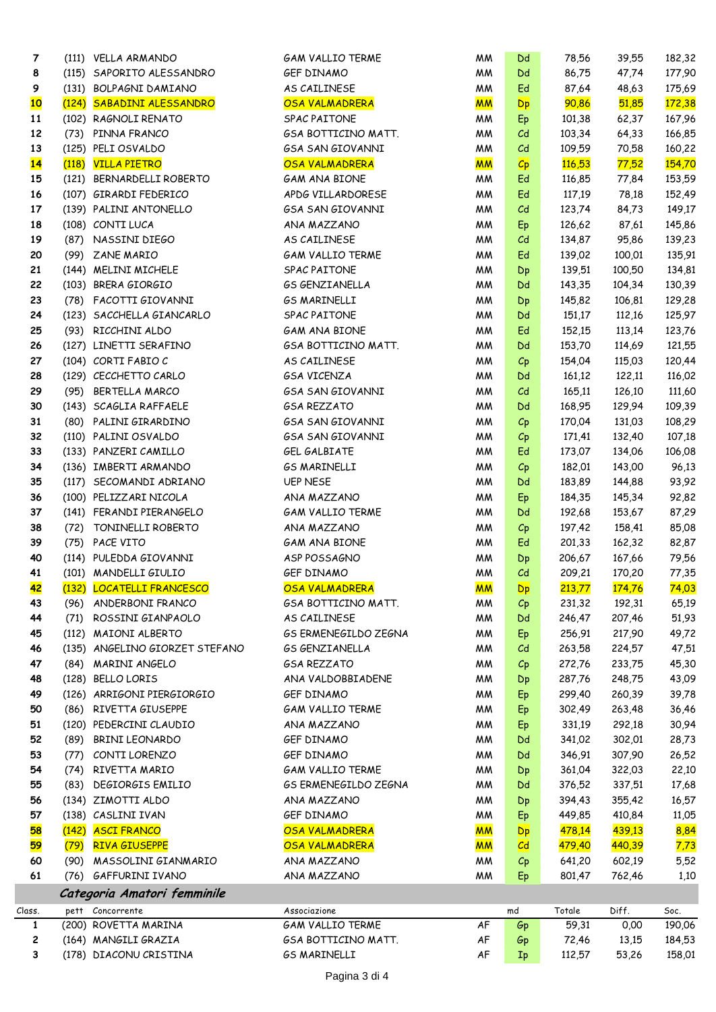| 7      |       | (111) VELLA ARMANDO            | <b>GAM VALLIO TERME</b>     | МM        | Dd                      | 78,56         | 39,55  | 182,32        |
|--------|-------|--------------------------------|-----------------------------|-----------|-------------------------|---------------|--------|---------------|
| 8      |       | (115) SAPORITO ALESSANDRO      | GEF DINAMO                  | МM        | Dd                      | 86,75         | 47,74  | 177,90        |
| 9      |       | (131) BOLPAGNI DAMIANO         | AS CAILINESE                | МM        | Ed                      | 87,64         | 48,63  | 175,69        |
| 10     |       | (124) SABADINI ALESSANDRO      | <b>OSA VALMADRERA</b>       | <b>MM</b> | <b>Dp</b>               | 90,86         | 51,85  | <b>172,38</b> |
| 11     |       | (102) RAGNOLI RENATO           | SPAC PAITONE                | <b>MM</b> | Ep                      | 101,38        | 62,37  | 167,96        |
| 12     |       | (73) PINNA FRANCO              | <b>GSA BOTTICINO MATT.</b>  | <b>MM</b> | C <sub>d</sub>          | 103,34        | 64,33  | 166,85        |
| 13     |       | (125) PELI OSVALDO             | <b>GSA SAN GIOVANNI</b>     | МM        | C <sub>d</sub>          | 109,59        | 70,58  | 160,22        |
| 14     | (118) | <b>VILLA PIETRO</b>            | <b>OSA VALMADRERA</b>       | <b>MM</b> | $C_{\mathsf{p}}$        | <b>116,53</b> | 77,52  | <b>154,70</b> |
|        |       |                                |                             |           |                         |               |        |               |
| 15     |       | (121) BERNARDELLI ROBERTO      | <b>GAM ANA BIONE</b>        | МM        | Ed                      | 116,85        | 77,84  | 153,59        |
| 16     |       | (107) GIRARDI FEDERICO         | APDG VILLARDORESE           | МM        | Ed                      | 117,19        | 78,18  | 152,49        |
| 17     |       | (139) PALINI ANTONELLO         | <b>GSA SAN GIOVANNI</b>     | <b>MM</b> | C <sub>d</sub>          | 123,74        | 84,73  | 149,17        |
| 18     |       | (108) CONTI LUCA               | ANA MAZZANO                 | МM        | Ep                      | 126,62        | 87,61  | 145,86        |
| 19     |       | (87) NASSINI DIEGO             | AS CAILINESE                | МM        | C <sub>d</sub>          | 134,87        | 95,86  | 139,23        |
| 20     |       | (99) ZANE MARIO                | <b>GAM VALLIO TERME</b>     | МM        | Ed                      | 139,02        | 100,01 | 135,91        |
| 21     |       | (144) MELINI MICHELE           | SPAC PAITONE                | <b>MM</b> | Dp                      | 139,51        | 100,50 | 134,81        |
| 22     |       | (103) BRERA GIORGIO            | <b>GS GENZIANELLA</b>       | <b>MM</b> | Dd                      | 143,35        | 104,34 | 130,39        |
| 23     |       | (78) FACOTTI GIOVANNI          | <b>GS MARINELLI</b>         | <b>MM</b> | Dp                      | 145,82        | 106,81 | 129,28        |
| 24     |       | (123) SACCHELLA GIANCARLO      | SPAC PAITONE                | МM        | Dd                      | 151,17        | 112,16 | 125,97        |
| 25     |       | (93) RICCHINI ALDO             | <b>GAM ANA BIONE</b>        | МM        | Ed                      | 152,15        | 113,14 | 123,76        |
| 26     |       | (127) LINETTI SERAFINO         | GSA BOTTICINO MATT.         | МM        | Dd                      | 153,70        | 114,69 | 121,55        |
| 27     |       | (104) CORTI FABIO C            | AS CAILINESE                | МM        | $C_{\rm p}$             | 154,04        | 115,03 | 120,44        |
| 28     |       | (129) CECCHETTO CARLO          | <b>GSA VICENZA</b>          | МM        | Dd                      | 161,12        | 122,11 | 116,02        |
| 29     |       | (95) BERTELLA MARCO            | <b>GSA SAN GIOVANNI</b>     | МM        | C <sub>d</sub>          | 165,11        | 126,10 | 111,60        |
| 30     |       | (143) SCAGLIA RAFFAELE         | <b>GSA REZZATO</b>          | МM        | Dd                      | 168,95        | 129,94 | 109,39        |
| 31     |       | (80) PALINI GIRARDINO          | <b>GSA SAN GIOVANNI</b>     | <b>MM</b> | Cp                      | 170,04        | 131,03 | 108,29        |
|        |       |                                |                             |           |                         |               |        |               |
| 32     |       | (110) PALINI OSVALDO           | <b>GSA SAN GIOVANNI</b>     | <b>MM</b> | Cp                      | 171,41        | 132,40 | 107,18        |
| 33     |       | (133) PANZERI CAMILLO          | GEL GALBIATE                | <b>MM</b> | Ed                      | 173,07        | 134,06 | 106,08        |
| 34     |       | (136) IMBERTI ARMANDO          | <b>GS MARINELLI</b>         | МM        | $C_{\rm p}$             | 182,01        | 143,00 | 96,13         |
| 35     |       | (117) SECOMANDI ADRIANO        | <b>UEP NESE</b>             | МM        | Dd                      | 183,89        | 144,88 | 93,92         |
| 36     |       | (100) PELIZZARI NICOLA         | ANA MAZZANO                 | МM        | Ep                      | 184,35        | 145,34 | 92,82         |
| 37     |       | (141) FERANDI PIERANGELO       | <b>GAM VALLIO TERME</b>     | МM        | Dd                      | 192,68        | 153,67 | 87,29         |
| 38     |       | (72) TONINELLI ROBERTO         | ANA MAZZANO                 | МM        | $C_{\rm p}$             | 197,42        | 158,41 | 85,08         |
| 39     |       | (75) PACE VITO                 | GAM ANA BIONE               | МM        | Ed                      | 201,33        | 162,32 | 82,87         |
| 40     |       | (114) PULEDDA GIOVANNI         | ASP POSSAGNO                | МM        | Dp                      | 206,67        | 167,66 | 79,56         |
| 41     |       | (101) MANDELLI GIULIO          | GEF DINAMO                  | <b>MM</b> | C <sub>d</sub>          | 209,21        | 170,20 | 77,35         |
| 42     | (132) | <b>LOCATELLI FRANCESCO</b>     | <b>OSA VALMADRERA</b>       | <b>MM</b> | Dp                      | 213,77        | 174,76 | 74,03         |
| 43     | (96)  | ANDERBONI FRANCO               | GSA BOTTICINO MATT.         | МM        | $C_{\rm p}$             | 231,32        | 192,31 | 65,19         |
| 44     | (71)  | ROSSINI GIANPAOLO              | AS CAILINESE                | МM        | Dd                      | 246,47        | 207,46 | 51,93         |
| 45     |       | (112) MAIONI ALBERTO           | <b>GS ERMENEGILDO ZEGNA</b> | МM        | Ep                      | 256,91        | 217,90 | 49,72         |
| 46     |       | (135) ANGELINO GIORZET STEFANO | <b>GS GENZIANELLA</b>       | МM        | C <sub>d</sub>          | 263,58        | 224,57 | 47,51         |
| 47     |       | (84) MARINI ANGELO             | <b>GSA REZZATO</b>          | МM        | $C_{\rm p}$             | 272,76        | 233,75 | 45,30         |
| 48     |       | (128) BELLO LORIS              | ANA VALDOBBIADENE           | МM        | Dp                      | 287,76        | 248,75 | 43,09         |
| 49     |       | (126) ARRIGONI PIERGIORGIO     | GEF DINAMO                  | МM        | Ep                      | 299,40        | 260,39 | 39,78         |
| 50     |       | (86) RIVETTA GIUSEPPE          | <b>GAM VALLIO TERME</b>     | МM        | Ep                      | 302,49        | 263,48 | 36,46         |
| 51     |       | (120) PEDERCINI CLAUDIO        | ANA MAZZANO                 | МM        | Ep                      | 331,19        | 292,18 | 30,94         |
| 52     | (89)  | BRINI LEONARDO                 | GEF DINAMO                  | МM        | Dd                      | 341,02        | 302,01 | 28,73         |
|        |       |                                |                             |           |                         |               |        |               |
| 53     | (77)  | CONTI LORENZO                  | GEF DINAMO                  | <b>MM</b> | Dd                      | 346,91        | 307,90 | 26,52         |
| 54     | (74)  | RIVETTA MARIO                  | <b>GAM VALLIO TERME</b>     | МM        | Dp                      | 361,04        | 322,03 | 22,10         |
| 55     | (83)  | DEGIORGIS EMILIO               | <b>GS ERMENEGILDO ZEGNA</b> | МM        | Dd                      | 376,52        | 337,51 | 17,68         |
| 56     |       | (134) ZIMOTTI ALDO             | ANA MAZZANO                 | МM        | Dp                      | 394,43        | 355,42 | 16,57         |
| 57     |       | (138) CASLINI IVAN             | GEF DINAMO                  | МM        | Ep                      | 449,85        | 410,84 | 11,05         |
| 58     | (142) | <b>ASCI FRANCO</b>             | <b>OSA VALMADRERA</b>       | <b>MM</b> | <b>Dp</b>               | 478,14        | 439,13 | 8,84          |
| 59     | (79)  | <b>RIVA GIUSEPPE</b>           | <b>OSA VALMADRERA</b>       | <b>MM</b> | $\mathcal{C}\mathsf{d}$ | 479,40        | 440,39 | 7,73          |
| 60     | (90)  | MASSOLINI GIANMARIO            | ANA MAZZANO                 | МM        | Cp                      | 641,20        | 602,19 | 5,52          |
| 61     |       | (76) GAFFURINI IVANO           | ANA MAZZANO                 | МM        | Ep                      | 801,47        | 762,46 | 1,10          |
|        |       | Categoria Amatori femminile    |                             |           |                         |               |        |               |
| Class. |       | pett Concorrente               | Associazione                |           | md                      | Totale        | Diff.  | Soc.          |
| 1      |       | (200) ROVETTA MARINA           | <b>GAM VALLIO TERME</b>     | AF        | Gp                      | 59,31         | 0,00   | 190,06        |
| 2      |       | (164) MANGILI GRAZIA           | GSA BOTTICINO MATT.         | AF        | Gp                      | 72,46         | 13,15  | 184,53        |
| 3      |       | (178) DIACONU CRISTINA         | <b>GS MARINELLI</b>         | AF        | $I_{p}$                 | 112,57        | 53,26  | 158,01        |
|        |       |                                |                             |           |                         |               |        |               |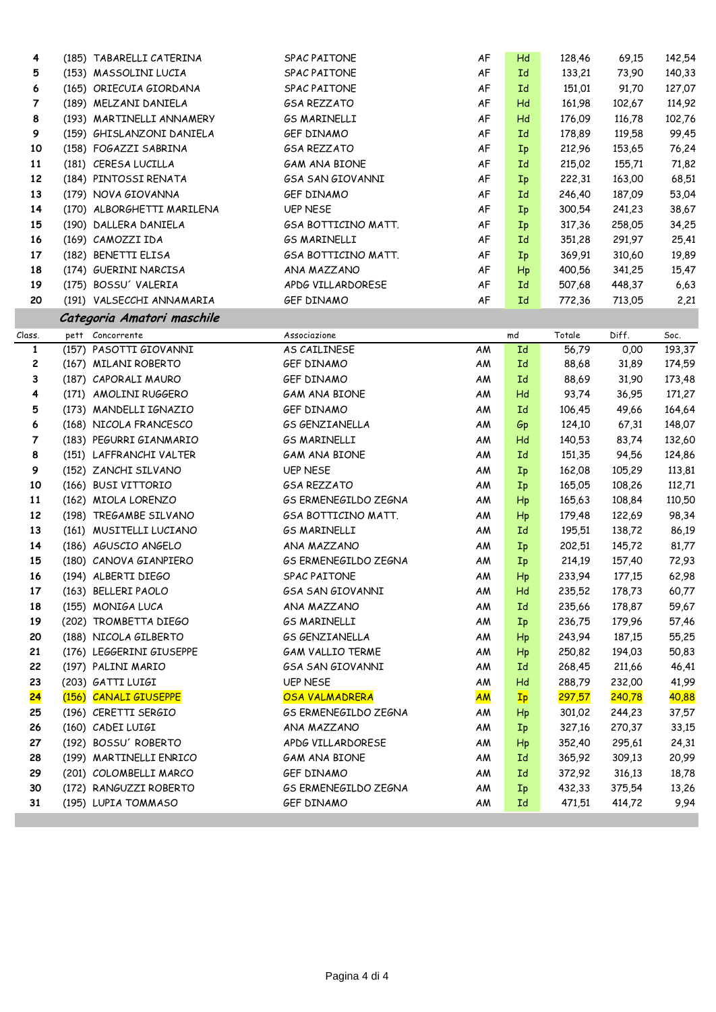| 4               | (185) TABARELLI CATERINA                         | SPAC PAITONE                | AF        | Hd                     | 128,46           | 69,15            | 142,54 |
|-----------------|--------------------------------------------------|-----------------------------|-----------|------------------------|------------------|------------------|--------|
| 5               | (153) MASSOLINI LUCIA                            | SPAC PAITONE                | AF        | Ιd                     | 133,21           | 73,90            | 140,33 |
| 6               | (165) ORIECUIA GIORDANA                          | <b>SPAC PAITONE</b>         | AF        | Id                     | 151,01           | 91,70            | 127,07 |
| 7               | (189) MELZANI DANIELA                            | <b>GSA REZZATO</b>          | AF        | Hd                     | 161,98           | 102,67           | 114,92 |
| 8               | (193) MARTINELLI ANNAMERY                        | <b>GS MARINELLI</b>         | AF        | Hd                     | 176,09           | 116,78           | 102,76 |
| 9               | (159) GHISLANZONI DANIELA                        | GEF DINAMO                  | AF        | Id                     | 178,89           | 119,58           | 99,45  |
| 10              | (158) FOGAZZI SABRINA                            | <b>GSA REZZATO</b>          | AF        | Ip                     | 212,96           | 153,65           | 76,24  |
| 11              | (181) CERESA LUCILLA                             | GAM ANA BIONE               | AF        | Ιd                     | 215,02           | 155,71           | 71,82  |
| 12              | (184) PINTOSSI RENATA                            | <b>GSA SAN GIOVANNI</b>     | AF        | Ip                     | 222,31           | 163,00           | 68,51  |
| 13              | (179) NOVA GIOVANNA                              | GEF DINAMO                  | AF        | Id                     | 246,40           | 187,09           | 53,04  |
| 14              | (170) ALBORGHETTI MARILENA                       | <b>UEP NESE</b>             | AF        | Ip                     | 300,54           | 241,23           | 38,67  |
| 15              | (190) DALLERA DANIELA                            | GSA BOTTICINO MATT.         | AF        | Ip                     | 317,36           | 258,05           | 34,25  |
| 16              | (169) CAMOZZI IDA                                | <b>GS MARINELLI</b>         | AF        | Id                     | 351,28           | 291,97           | 25,41  |
| 17              | (182) BENETTI ELISA                              | GSA BOTTICINO MATT.         | AF        | Ip                     | 369,91           | 310,60           | 19,89  |
| 18              | (174) GUERINI NARCISA                            | ANA MAZZANO                 | AF        | Hp                     | 400,56           | 341,25           | 15,47  |
| 19              | (175) BOSSU' VALERIA                             | APDG VILLARDORESE           | AF        | Id                     | 507,68           | 448,37           | 6,63   |
| 20              | (191) VALSECCHI ANNAMARIA                        | GEF DINAMO                  | AF        | Id                     | 772,36           | 713,05           | 2,21   |
|                 | Categoria Amatori maschile                       |                             |           |                        |                  |                  |        |
| Class.          | pett Concorrente                                 | Associazione                |           | md                     | Totale           | Diff.            | Soc.   |
| $\mathbf{1}$    | (157) PASOTTI GIOVANNI                           | AS CAILINESE                | AM        | Id                     | 56,79            | 0,00             | 193,37 |
| $\mathbf{z}$    | (167) MILANI ROBERTO                             | GEF DINAMO                  | AM        | Id                     | 88,68            | 31,89            | 174,59 |
| 3               | (187) CAPORALI MAURO                             | GEF DINAMO                  | AM        | Id                     | 88,69            | 31,90            | 173,48 |
| 4               | (171) AMOLINI RUGGERO                            | <b>GAM ANA BIONE</b>        | AM        | Hd                     | 93,74            | 36,95            | 171,27 |
| 5               | (173) MANDELLI IGNAZIO                           | GEF DINAMO                  | AM        | Id                     | 106,45           | 49,66            | 164,64 |
| 6               | (168) NICOLA FRANCESCO                           | <b>GS GENZIANELLA</b>       | AM        | Gp                     | 124,10           | 67,31            | 148,07 |
| 7               | (183) PEGURRI GIANMARIO                          | <b>GS MARINELLI</b>         | AM        | Hd                     | 140,53           | 83,74            | 132,60 |
| 8               | (151) LAFFRANCHI VALTER                          | <b>GAM ANA BIONE</b>        | AM        | Id                     | 151,35           | 94,56            | 124,86 |
| 9               | (152) ZANCHI SILVANO                             | <b>UEP NESE</b>             | AM        | $I_{p}$                | 162,08           | 105,29           | 113,81 |
| 10              | (166) BUSI VITTORIO                              | <b>GSA REZZATO</b>          | AM        | Ip                     | 165,05           | 108,26           | 112,71 |
| 11              | (162) MIOLA LORENZO                              | <b>GS ERMENEGILDO ZEGNA</b> | AM        | Hp                     | 165,63           | 108,84           | 110,50 |
| 12              | (198) TREGAMBE SILVANO                           | GSA BOTTICINO MATT.         | AM        | $\mathsf{H}\mathsf{p}$ | 179,48           | 122,69           | 98,34  |
| 13              | (161) MUSITELLI LUCIANO                          | <b>GS MARINELLI</b>         | AM        | Id                     | 195,51           | 138,72           | 86,19  |
| 14              | (186) AGUSCIO ANGELO                             | ANA MAZZANO                 | AM        | $I_{p}$                | 202,51           | 145,72           | 81,77  |
| 15              | (180) CANOVA GIANPIERO                           | <b>GS ERMENEGILDO ZEGNA</b> | AM        | $I_{p}$                | 214,19           | 157,40           | 72,93  |
| 16              | (194) ALBERTI DIEGO                              | SPAC PAITONE                | AM        | Hp                     | 233,94           | 177,15           | 62,98  |
| 17              | (163) BELLERI PAOLO                              | <b>GSA SAN GIOVANNI</b>     | ΑM        | Hd                     | 235,52           | 178,73           | 60,77  |
| 18              | (155) MONIGA LUCA                                | ANA MAZZANO                 | ΑM        | Id                     | 235,66           | 178,87           | 59,67  |
| 19              | (202) TROMBETTA DIEGO                            | <b>GS MARINELLI</b>         | AM        | $I_{\rm p}$            | 236,75           | 179,96           | 57,46  |
| 20              | (188) NICOLA GILBERTO                            | <b>GS GENZIANELLA</b>       | ΑM        | Hp                     | 243,94           | 187,15           | 55,25  |
| 21              | (176) LEGGERINI GIUSEPPE                         | <b>GAM VALLIO TERME</b>     | AM        | Hp                     | 250,82           | 194,03           | 50,83  |
| 22              | (197) PALINI MARIO                               | <b>GSA SAN GIOVANNI</b>     | AM        | Id                     | 268,45           | 211,66           | 46,41  |
| 23              | (203) GATTI LUIGI                                | <b>UEP NESE</b>             | AM        | Hd                     | 288,79           | 232,00           | 41,99  |
| <mark>24</mark> | (156) CANALI GIUSEPPE                            | OSA VALMADRERA              | <b>AM</b> | Ip                     | 297,57           | 240,78           | 40,88  |
| 25              | (196) CERETTI SERGIO                             | <b>GS ERMENEGILDO ZEGNA</b> | AM        | Нp                     | 301,02           | 244,23           | 37,57  |
| 26<br>27        | (160) CADEI LUIGI<br>(192) BOSSU' ROBERTO        | ANA MAZZANO                 | AM        | $I_{p}$                | 327,16           | 270,37           | 33,15  |
|                 |                                                  | APDG VILLARDORESE           | AM        | Hp                     | 352,40           | 295,61           | 24,31  |
| 28              | (199) MARTINELLI ENRICO                          | <b>GAM ANA BIONE</b>        | AM        | Id                     | 365,92           | 309,13           | 20,99  |
| 29<br>30        | (201) COLOMBELLI MARCO<br>(172) RANGUZZI ROBERTO | GEF DINAMO                  | AM        | Id                     | 372,92<br>432,33 | 316,13<br>375,54 | 18,78  |
|                 |                                                  | <b>GS ERMENEGILDO ZEGNA</b> | AM        | $I_{p}$                |                  |                  | 13,26  |
| 31              | (195) LUPIA TOMMASO                              | GEF DINAMO                  | AM        | Id                     | 471,51           | 414,72           | 9,94   |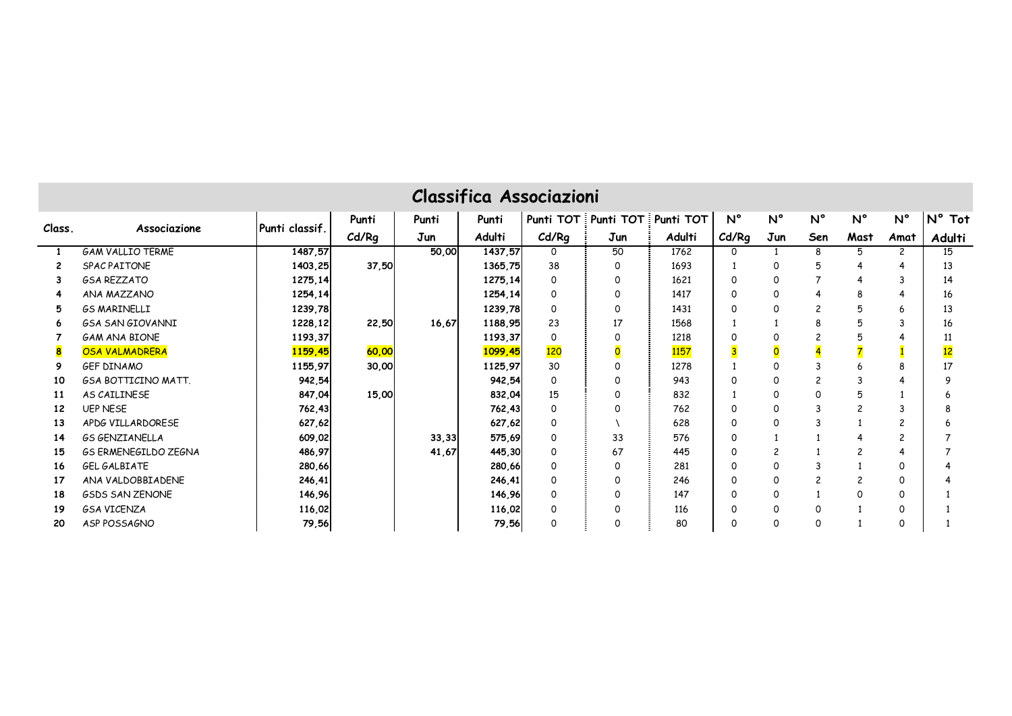|        | <b>Classifica Associazioni</b><br>Punti TOT Punti TOT Punti TOT                                                  |                |       |       |         |          |                         |        |             |             |                         |                          |             |                           |
|--------|------------------------------------------------------------------------------------------------------------------|----------------|-------|-------|---------|----------|-------------------------|--------|-------------|-------------|-------------------------|--------------------------|-------------|---------------------------|
|        |                                                                                                                  |                | Punti | Punti | Punti   |          |                         |        | $N^{\circ}$ | $N^{\circ}$ | $N^{\circ}$             | $N^{\circ}$              | $N^{\circ}$ | $N^{\circ}$<br><b>Tot</b> |
| Class. | Associazione                                                                                                     | Punti classif. | Cd/Rg | Jun   | Adulti  | Cd/Rg    | Jun                     | Adulti | Cd/Rg       | Jun         | Sen                     | Mast                     | Amat        | Adulti                    |
|        | <b>GAM VALLIO TERME</b>                                                                                          | 1487,57        |       | 50,00 | 1437.57 | 0        | 50                      | 1762   | 0           |             | 8                       | 5                        | 2           | 15                        |
|        | SPAC PAITONE                                                                                                     | 1403,25        | 37,50 |       | 1365,75 | 38       | 0                       | 1693   |             | $\Omega$    | 5                       | 4                        |             | 13                        |
|        | <b>GSA REZZATO</b>                                                                                               | 1275,14        |       |       | 1275,14 | $\Omega$ | 0                       | 1621   | $\Omega$    | $\Omega$    |                         | 4                        | 3           | 14                        |
|        | ANA MAZZANO                                                                                                      | 1254,14        |       |       | 1254,14 | $\Omega$ | 0                       | 1417   | $\Omega$    |             | 4                       | 8                        |             | 16                        |
| 5      | <b>GS MARINELLI</b><br>1239,78<br>1239,78<br>$\overline{c}$<br>5<br>$\Omega$<br>0<br>1431<br>$\Omega$<br>13<br>6 |                |       |       |         |          |                         |        |             |             |                         |                          |             |                           |
| 6      | <b>GSA SAN GIOVANNI</b>                                                                                          | 1228,12        | 22,50 | 16,67 | 1188,95 | 23       | 17                      | 1568   |             |             | 8                       | 5                        | 3           | 16                        |
|        | <b>GAM ANA BIONE</b>                                                                                             | 1193,37        |       |       | 1193,37 | $\Omega$ | 0                       | 1218   | ∩           |             | $\overline{\mathbf{c}}$ |                          |             | 11                        |
| 8      | <b>OSA VALMADRERA</b>                                                                                            | 1159,45        | 60,00 |       | 1099,45 | 120      | $\overline{\mathbf{O}}$ | 1157   |             |             |                         |                          |             | 12                        |
| 9      | <b>GEF DINAMO</b>                                                                                                | 1155,97        | 30,00 |       | 1125,97 | 30       | 0                       | 1278   |             |             |                         |                          |             | 17                        |
| 10     | <b>GSA BOTTICINO MATT.</b>                                                                                       | 942,54         |       |       | 942,54  | $\Omega$ | 0                       | 943    | $\Omega$    |             | $\overline{\mathbf{c}}$ |                          |             | q                         |
| 11     | AS CAILINESE                                                                                                     | 847,04         | 15,00 |       | 832,04  | 15       | 0                       | 832    |             | $\Omega$    | $\Omega$                | 厉                        |             |                           |
| 12     | <b>UEP NESE</b>                                                                                                  | 762,43         |       |       | 762,43  | 0        | 0                       | 762    | $\Omega$    | $\Omega$    | 3                       | 2                        |             |                           |
| 13     | APDG VILLARDORESE                                                                                                | 627,62         |       |       | 627,62  | 0        |                         | 628    | 0           | ∩           | 3                       |                          |             |                           |
| 14     | <b>GS GENZIANELLA</b>                                                                                            | 609,02         |       | 33,33 | 575,69  | $\Omega$ | 33                      | 576    | $\Omega$    |             |                         |                          | 2           |                           |
| 15     | <b>GS ERMENEGILDO ZEGNA</b>                                                                                      | 486,97         |       | 41,67 | 445,30  | 0        | 67                      | 445    | $\Omega$    |             |                         | $\overline{\phantom{0}}$ |             |                           |
| 16     | GEL GALBIATE                                                                                                     | 280,66         |       |       | 280,66  | ∩        | 0                       | 281    | 0           |             | 3                       |                          | 0           |                           |
| 17     | ANA VALDOBBIADENE                                                                                                | 246,41         |       |       | 246,41  | $\Omega$ | 0                       | 246    | O           | $\Omega$    | $\overline{c}$          | $\overline{\phantom{0}}$ | 0           |                           |
| 18     | <b>GSDS SAN ZENONE</b>                                                                                           | 146,96         |       |       | 146,96  | $\Omega$ | 0                       | 147    | 0           | $\Omega$    |                         | $\Omega$                 | 0           |                           |
| 19     | <b>GSA VICENZA</b>                                                                                               | 116,02         |       |       | 116,02  | $\Omega$ | 0                       | 116    | $\Omega$    | $\Omega$    | 0                       |                          | 0           |                           |
| 20     | ASP POSSAGNO                                                                                                     | 79,56          |       |       | 79,56   | $\Omega$ | 0                       | 80     | 0           |             | 0                       |                          | 0           |                           |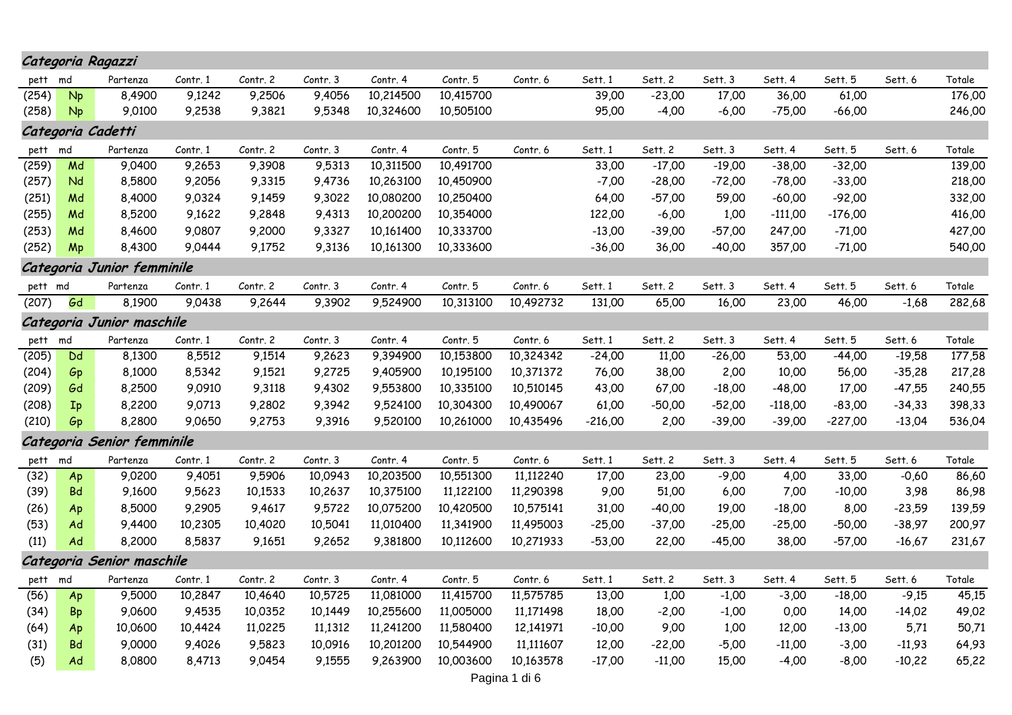|               |           | Categoria Ragazzi          |          |          |          |           |           |           |           |          |          |           |           |          |        |
|---------------|-----------|----------------------------|----------|----------|----------|-----------|-----------|-----------|-----------|----------|----------|-----------|-----------|----------|--------|
| pett          | md        | Partenza                   | Contr. 1 | Contr. 2 | Contr. 3 | Contr. 4  | Contr. 5  | Contr. 6  | Sett. 1   | Sett. 2  | Sett. 3  | Sett. 4   | Sett. 5   | Sett. 6  | Totale |
| (254)         | <b>Np</b> | 8,4900                     | 9,1242   | 9,2506   | 9,4056   | 10,214500 | 10,415700 |           | 39,00     | $-23,00$ | 17,00    | 36,00     | 61,00     |          | 176,00 |
| (258)         | <b>Np</b> | 9,0100                     | 9,2538   | 9,3821   | 9,5348   | 10,324600 | 10,505100 |           | 95,00     | $-4,00$  | $-6,00$  | $-75,00$  | $-66,00$  |          | 246,00 |
|               |           | Categoria Cadetti          |          |          |          |           |           |           |           |          |          |           |           |          |        |
| pett          | md        | Partenza                   | Contr. 1 | Contr. 2 | Contr. 3 | Contr. 4  | Contr. 5  | Contr. 6  | Sett. 1   | Sett. 2  | Sett. 3  | Sett. 4   | Sett. 5   | Sett. 6  | Totale |
| (259)         | Md        | 9,0400                     | 9,2653   | 9,3908   | 9,5313   | 10,311500 | 10,491700 |           | 33,00     | $-17,00$ | $-19,00$ | $-38,00$  | $-32,00$  |          | 139,00 |
| (257)         | Nd        | 8,5800                     | 9,2056   | 9,3315   | 9,4736   | 10,263100 | 10,450900 |           | $-7,00$   | $-28,00$ | $-72,00$ | $-78,00$  | $-33,00$  |          | 218,00 |
| (251)         | Md        | 8,4000                     | 9,0324   | 9,1459   | 9,3022   | 10,080200 | 10,250400 |           | 64,00     | $-57,00$ | 59,00    | $-60,00$  | $-92,00$  |          | 332,00 |
| (255)         | Md        | 8,5200                     | 9,1622   | 9,2848   | 9,4313   | 10,200200 | 10,354000 |           | 122,00    | $-6,00$  | 1,00     | $-111,00$ | $-176,00$ |          | 416,00 |
| (253)         | Md        | 8,4600                     | 9,0807   | 9,2000   | 9,3327   | 10,161400 | 10,333700 |           | $-13,00$  | $-39,00$ | $-57,00$ | 247,00    | $-71,00$  |          | 427,00 |
| (252)         | Mp        | 8,4300                     | 9,0444   | 9,1752   | 9,3136   | 10,161300 | 10,333600 |           | $-36,00$  | 36,00    | -40.00   | 357,00    | $-71,00$  |          | 540,00 |
|               |           | Categoria Junior femminile |          |          |          |           |           |           |           |          |          |           |           |          |        |
| pett md       |           | Partenza                   | Contr. 1 | Contr. 2 | Contr. 3 | Contr. 4  | Contr. 5  | Contr. 6  | Sett. 1   | Sett. 2  | Sett. 3  | Sett. 4   | Sett. 5   | Sett. 6  | Totale |
| (207)         | Gd        | 8,1900                     | 9,0438   | 9,2644   | 9,3902   | 9,524900  | 10,313100 | 10,492732 | 131,00    | 65,00    | 16,00    | 23,00     | 46,00     | $-1,68$  | 282,68 |
|               |           | Categoria Junior maschile  |          |          |          |           |           |           |           |          |          |           |           |          |        |
|               |           | Partenza                   | Contr. 1 | Contr. 2 | Contr. 3 | Contr. 4  | Contr. 5  | Contr. 6  | Sett. 1   | Sett. 2  | Sett. 3  | Sett. 4   | Sett. 5   | Sett. 6  | Totale |
| pett<br>(205) | md<br>Dd  | 8,1300                     | 8,5512   | 9,1514   | 9,2623   | 9,394900  | 10,153800 | 10,324342 | $-24,00$  | 11,00    | $-26,00$ | 53,00     | $-44,00$  | $-19,58$ | 177,58 |
| (204)         | Gp        | 8,1000                     | 8,5342   | 9,1521   | 9,2725   | 9,405900  | 10,195100 | 10,371372 | 76,00     | 38,00    | 2,00     | 10,00     | 56,00     | $-35,28$ | 217,28 |
| (209)         | Gd        | 8,2500                     | 9,0910   | 9,3118   | 9,4302   | 9,553800  | 10,335100 | 10,510145 | 43,00     | 67,00    | $-18,00$ | $-48,00$  | 17,00     | $-47,55$ | 240,55 |
| (208)         | Ip        | 8,2200                     | 9,0713   | 9,2802   | 9,3942   | 9,524100  | 10,304300 | 10,490067 | 61,00     | $-50,00$ | $-52,00$ | $-118,00$ | $-83,00$  | $-34,33$ | 398,33 |
| (210)         | Gp        | 8,2800                     | 9,0650   | 9,2753   | 9,3916   | 9,520100  | 10,261000 | 10,435496 | $-216,00$ | 2,00     | $-39,00$ | $-39,00$  | $-227,00$ | -13,04   | 536,04 |
|               |           | Categoria Senior femminile |          |          |          |           |           |           |           |          |          |           |           |          |        |
| pett          | md        | Partenza                   | Contr. 1 | Contr. 2 | Contr. 3 | Contr. 4  | Contr. 5  | Contr. 6  | Sett. 1   | Sett. 2  | Sett. 3  | Sett. 4   | Sett. 5   | Sett. 6  | Totale |
| (32)          | Ap        | 9,0200                     | 9,4051   | 9,5906   | 10,0943  | 10,203500 | 10,551300 | 11,112240 | 17,00     | 23,00    | $-9,00$  | 4,00      | 33,00     | $-0,60$  | 86,60  |
| (39)          | Bd        | 9,1600                     | 9,5623   | 10,1533  | 10,2637  | 10,375100 | 11,122100 | 11,290398 | 9,00      | 51,00    | 6,00     | 7,00      | $-10,00$  | 3,98     | 86,98  |
| (26)          | Ap        | 8,5000                     | 9,2905   | 9,4617   | 9,5722   | 10,075200 | 10,420500 | 10,575141 | 31,00     | $-40,00$ | 19,00    | $-18,00$  | 8,00      | $-23,59$ | 139,59 |
| (53)          | Ad        | 9,4400                     | 10,2305  | 10,4020  | 10,5041  | 11,010400 | 11,341900 | 11,495003 | $-25,00$  | $-37,00$ | -25,00   | $-25,00$  | $-50,00$  | $-38,97$ | 200,97 |
| (11)          | Ad        | 8,2000                     | 8,5837   | 9,1651   | 9,2652   | 9,381800  | 10,112600 | 10,271933 | $-53,00$  | 22,00    | $-45,00$ | 38,00     | $-57,00$  | $-16,67$ | 231,67 |
|               |           | Categoria Senior maschile  |          |          |          |           |           |           |           |          |          |           |           |          |        |
| pett          | md        | Partenza                   | Contr. 1 | Contr. 2 | Contr. 3 | Contr. 4  | Contr. 5  | Contr. 6  | Sett. 1   | Sett. 2  | Sett. 3  | Sett. 4   | Sett. 5   | Sett. 6  | Totale |
| (56)          | Ap        | 9,5000                     | 10,2847  | 10,4640  | 10,5725  | 11,081000 | 11,415700 | 11,575785 | 13,00     | 1,00     | $-1,00$  | $-3,00$   | $-18,00$  | $-9,15$  | 45,15  |
| (34)          | <b>Bp</b> | 9,0600                     | 9,4535   | 10,0352  | 10,1449  | 10,255600 | 11,005000 | 11,171498 | 18,00     | $-2,00$  | $-1,00$  | 0,00      | 14,00     | $-14,02$ | 49,02  |
| (64)          | Ap        | 10,0600                    | 10,4424  | 11,0225  | 11,1312  | 11,241200 | 11,580400 | 12,141971 | $-10,00$  | 9,00     | 1,00     | 12,00     | $-13,00$  | 5,71     | 50,71  |
| (31)          | <b>Bd</b> | 9,0000                     | 9,4026   | 9,5823   | 10,0916  | 10,201200 | 10,544900 | 11,111607 | 12,00     | $-22,00$ | $-5,00$  | $-11,00$  | $-3,00$   | $-11,93$ | 64,93  |
| (5)           | Ad        | 8,0800                     | 8,4713   | 9,0454   | 9,1555   | 9,263900  | 10,003600 | 10,163578 | $-17.00$  | $-11,00$ | 15,00    | $-4.00$   | $-8,00$   | $-10,22$ | 65,22  |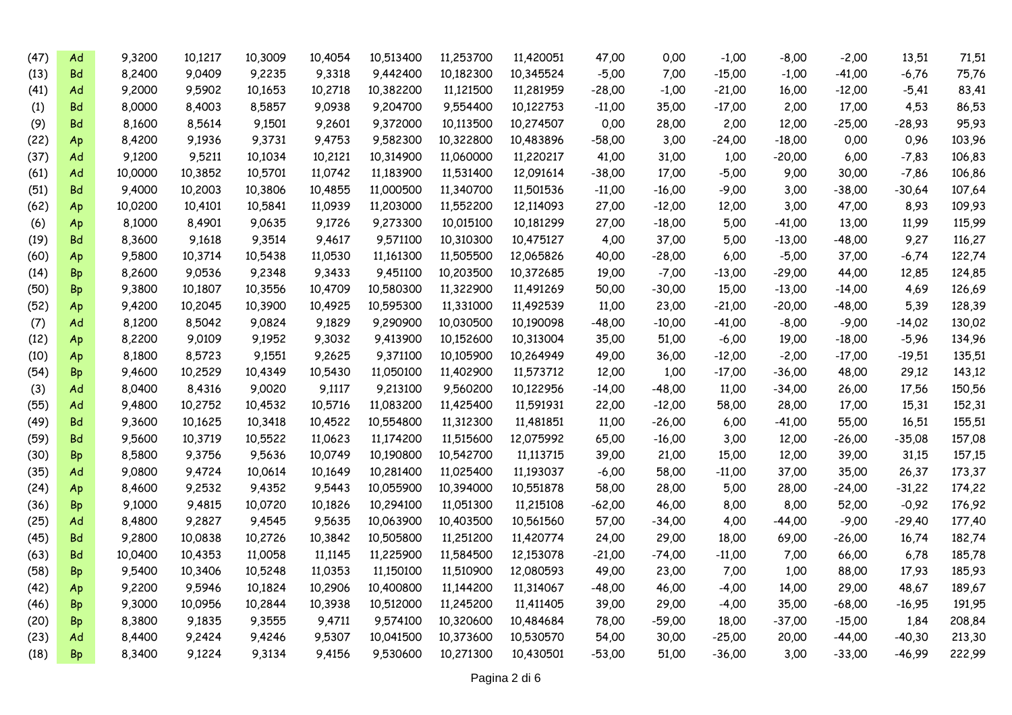| (47) | Ad        | 9,3200  | 10,1217 | 10,3009 | 10,4054 | 10,513400 | 11,253700 | 11,420051 | 47,00    | 0,00     | $-1,00$  | $-8,00$  | $-2,00$  | 13,51    | 71,51  |
|------|-----------|---------|---------|---------|---------|-----------|-----------|-----------|----------|----------|----------|----------|----------|----------|--------|
| (13) | Bd        | 8,2400  | 9,0409  | 9,2235  | 9,3318  | 9,442400  | 10,182300 | 10,345524 | $-5,00$  | 7,00     | $-15,00$ | $-1,00$  | $-41,00$ | -6,76    | 75,76  |
| (41) | Ad        | 9,2000  | 9,5902  | 10,1653 | 10,2718 | 10,382200 | 11,121500 | 11,281959 | $-28,00$ | $-1,00$  | $-21,00$ | 16,00    | $-12,00$ | $-5,41$  | 83,41  |
| (1)  | Bd        | 8,0000  | 8,4003  | 8,5857  | 9.0938  | 9,204700  | 9,554400  | 10,122753 | $-11,00$ | 35,00    | $-17,00$ | 2,00     | 17,00    | 4,53     | 86,53  |
| (9)  | Bd        | 8,1600  | 8,5614  | 9,1501  | 9,2601  | 9,372000  | 10,113500 | 10,274507 | 0,00     | 28,00    | 2,00     | 12,00    | $-25,00$ | $-28,93$ | 95,93  |
| (22) | Ap        | 8,4200  | 9,1936  | 9,3731  | 9,4753  | 9,582300  | 10,322800 | 10,483896 | $-58,00$ | 3,00     | $-24,00$ | $-18,00$ | 0,00     | 0,96     | 103,96 |
| (37) | Ad        | 9,1200  | 9,5211  | 10,1034 | 10,2121 | 10,314900 | 11,060000 | 11,220217 | 41,00    | 31,00    | 1,00     | $-20,00$ | 6,00     | $-7,83$  | 106,83 |
| (61) | Ad        | 10,0000 | 10,3852 | 10,5701 | 11,0742 | 11,183900 | 11,531400 | 12,091614 | $-38,00$ | 17,00    | $-5,00$  | 9,00     | 30,00    | -7,86    | 106,86 |
| (51) | Bd        | 9,4000  | 10,2003 | 10,3806 | 10,4855 | 11,000500 | 11,340700 | 11,501536 | $-11,00$ | $-16,00$ | $-9,00$  | 3,00     | $-38,00$ | $-30,64$ | 107,64 |
| (62) | Ap        | 10,0200 | 10,4101 | 10,5841 | 11,0939 | 11,203000 | 11,552200 | 12,114093 | 27,00    | $-12,00$ | 12,00    | 3,00     | 47,00    | 8,93     | 109,93 |
| (6)  | Ap        | 8,1000  | 8,4901  | 9,0635  | 9,1726  | 9,273300  | 10,015100 | 10,181299 | 27,00    | $-18,00$ | 5,00     | $-41,00$ | 13,00    | 11,99    | 115,99 |
| (19) | <b>Bd</b> | 8,3600  | 9,1618  | 9,3514  | 9,4617  | 9,571100  | 10,310300 | 10,475127 | 4,00     | 37,00    | 5,00     | $-13,00$ | $-48,00$ | 9,27     | 116,27 |
| (60) | Ap        | 9,5800  | 10,3714 | 10,5438 | 11,0530 | 11,161300 | 11,505500 | 12,065826 | 40,00    | $-28,00$ | 6,00     | $-5,00$  | 37,00    | $-6,74$  | 122,74 |
| (14) | Bp        | 8,2600  | 9,0536  | 9,2348  | 9,3433  | 9,451100  | 10,203500 | 10,372685 | 19,00    | $-7,00$  | $-13,00$ | $-29,00$ | 44,00    | 12,85    | 124,85 |
| (50) | <b>Bp</b> | 9,3800  | 10,1807 | 10,3556 | 10,4709 | 10,580300 | 11,322900 | 11,491269 | 50,00    | $-30,00$ | 15,00    | $-13,00$ | -14,00   | 4,69     | 126,69 |
| (52) | Ap        | 9,4200  | 10,2045 | 10,3900 | 10,4925 | 10,595300 | 11,331000 | 11,492539 | 11,00    | 23,00    | $-21,00$ | $-20,00$ | $-48,00$ | 5,39     | 128,39 |
| (7)  | Ad        | 8,1200  | 8,5042  | 9,0824  | 9,1829  | 9,290900  | 10,030500 | 10,190098 | $-48,00$ | $-10,00$ | $-41,00$ | $-8,00$  | $-9,00$  | -14,02   | 130,02 |
| (12) | Ap        | 8,2200  | 9,0109  | 9,1952  | 9,3032  | 9,413900  | 10,152600 | 10,313004 | 35,00    | 51,00    | -6,00    | 19,00    | $-18,00$ | $-5,96$  | 134,96 |
| (10) | Ap        | 8,1800  | 8,5723  | 9,1551  | 9,2625  | 9,371100  | 10,105900 | 10,264949 | 49,00    | 36,00    | $-12,00$ | $-2,00$  | $-17,00$ | -19,51   | 135,51 |
| (54) | Bp        | 9,4600  | 10,2529 | 10,4349 | 10,5430 | 11,050100 | 11,402900 | 11,573712 | 12,00    | 1,00     | $-17,00$ | $-36,00$ | 48,00    | 29,12    | 143,12 |
| (3)  | Ad        | 8,0400  | 8,4316  | 9,0020  | 9,1117  | 9,213100  | 9,560200  | 10,122956 | $-14,00$ | $-48,00$ | 11,00    | $-34,00$ | 26,00    | 17,56    | 150,56 |
| (55) | Ad        | 9,4800  | 10,2752 | 10,4532 | 10,5716 | 11,083200 | 11,425400 | 11,591931 | 22,00    | $-12,00$ | 58,00    | 28,00    | 17,00    | 15,31    | 152,31 |
| (49) | Bd        | 9,3600  | 10,1625 | 10,3418 | 10,4522 | 10,554800 | 11,312300 | 11,481851 | 11,00    | $-26,00$ | 6,00     | $-41,00$ | 55,00    | 16,51    | 155,51 |
| (59) | Bd        | 9,5600  | 10,3719 | 10,5522 | 11,0623 | 11,174200 | 11,515600 | 12,075992 | 65,00    | $-16,00$ | 3,00     | 12,00    | $-26,00$ | $-35,08$ | 157,08 |
| (30) | <b>Bp</b> | 8,5800  | 9,3756  | 9,5636  | 10,0749 | 10,190800 | 10,542700 | 11,113715 | 39,00    | 21,00    | 15,00    | 12,00    | 39,00    | 31,15    | 157,15 |
| (35) | Ad        | 9,0800  | 9,4724  | 10,0614 | 10,1649 | 10,281400 | 11,025400 | 11,193037 | $-6,00$  | 58,00    | $-11,00$ | 37,00    | 35,00    | 26,37    | 173,37 |
| (24) | Ap        | 8,4600  | 9,2532  | 9,4352  | 9,5443  | 10,055900 | 10,394000 | 10,551878 | 58,00    | 28,00    | 5,00     | 28,00    | $-24,00$ | $-31,22$ | 174,22 |
| (36) | Bp        | 9,1000  | 9,4815  | 10,0720 | 10,1826 | 10,294100 | 11,051300 | 11,215108 | $-62,00$ | 46,00    | 8,00     | 8,00     | 52,00    | $-0,92$  | 176,92 |
| (25) | Ad        | 8,4800  | 9,2827  | 9,4545  | 9,5635  | 10,063900 | 10,403500 | 10,561560 | 57,00    | $-34,00$ | 4,00     | $-44,00$ | $-9,00$  | $-29,40$ | 177,40 |
| (45) | Bd        | 9,2800  | 10,0838 | 10,2726 | 10,3842 | 10,505800 | 11,251200 | 11,420774 | 24,00    | 29,00    | 18,00    | 69,00    | $-26,00$ | 16,74    | 182,74 |
| (63) | Bd        | 10,0400 | 10,4353 | 11,0058 | 11,1145 | 11,225900 | 11,584500 | 12,153078 | $-21,00$ | -74,00   | $-11,00$ | 7,00     | 66,00    | 6,78     | 185,78 |
| (58) | Bp        | 9,5400  | 10,3406 | 10,5248 | 11,0353 | 11,150100 | 11,510900 | 12,080593 | 49,00    | 23,00    | 7,00     | 1,00     | 88,00    | 17,93    | 185,93 |
| (42) | Ap        | 9,2200  | 9,5946  | 10,1824 | 10,2906 | 10,400800 | 11,144200 | 11,314067 | $-48,00$ | 46,00    | $-4,00$  | 14,00    | 29,00    | 48,67    | 189,67 |
| (46) | Bp        | 9,3000  | 10,0956 | 10,2844 | 10,3938 | 10,512000 | 11,245200 | 11,411405 | 39,00    | 29,00    | $-4,00$  | 35,00    | $-68,00$ | -16,95   | 191,95 |
| (20) | Bp        | 8,3800  | 9,1835  | 9,3555  | 9,4711  | 9,574100  | 10,320600 | 10,484684 | 78,00    | $-59,00$ | 18,00    | $-37,00$ | $-15,00$ | 1,84     | 208,84 |
| (23) | Ad        | 8,4400  | 9,2424  | 9,4246  | 9,5307  | 10,041500 | 10,373600 | 10,530570 | 54,00    | 30,00    | $-25,00$ | 20,00    | $-44,00$ | $-40,30$ | 213,30 |
| (18) | Bp        | 8,3400  | 9,1224  | 9,3134  | 9,4156  | 9,530600  | 10,271300 | 10,430501 | $-53,00$ | 51,00    | $-36,00$ | 3,00     | -33,00   | $-46,99$ | 222,99 |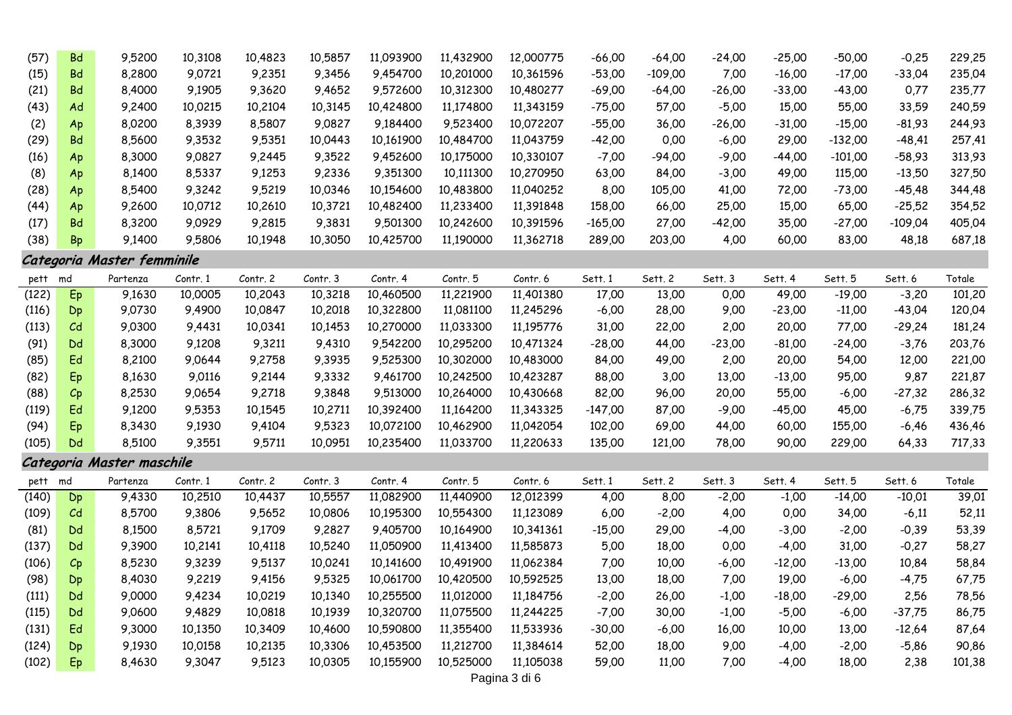| (57)  | <b>Bd</b>       | 9,5200                     | 10,3108  | 10,4823  | 10,5857  | 11,093900 | 11,432900 | 12,000775 | $-66,00$  | $-64,00$  | $-24,00$ | $-25,00$ | $-50,00$  | $-0,25$   | 229,25 |
|-------|-----------------|----------------------------|----------|----------|----------|-----------|-----------|-----------|-----------|-----------|----------|----------|-----------|-----------|--------|
| (15)  | <b>Bd</b>       | 8,2800                     | 9,0721   | 9,2351   | 9,3456   | 9,454700  | 10,201000 | 10,361596 | $-53,00$  | $-109,00$ | 7,00     | $-16,00$ | $-17,00$  | $-33,04$  | 235,04 |
| (21)  | <b>Bd</b>       | 8,4000                     | 9,1905   | 9,3620   | 9,4652   | 9,572600  | 10,312300 | 10,480277 | $-69,00$  | $-64,00$  | $-26,00$ | $-33,00$ | $-43,00$  | 0,77      | 235,77 |
| (43)  | Ad              | 9,2400                     | 10,0215  | 10,2104  | 10,3145  | 10,424800 | 11,174800 | 11,343159 | $-75,00$  | 57,00     | $-5,00$  | 15,00    | 55,00     | 33,59     | 240,59 |
| (2)   | Ap              | 8,0200                     | 8,3939   | 8,5807   | 9,0827   | 9,184400  | 9,523400  | 10,072207 | $-55,00$  | 36,00     | $-26,00$ | $-31,00$ | $-15,00$  | $-81,93$  | 244,93 |
| (29)  | <b>Bd</b>       | 8,5600                     | 9,3532   | 9,5351   | 10,0443  | 10,161900 | 10,484700 | 11,043759 | $-42,00$  | 0,00      | $-6,00$  | 29,00    | $-132,00$ | $-48,41$  | 257,41 |
| (16)  | Ap              | 8,3000                     | 9,0827   | 9,2445   | 9,3522   | 9,452600  | 10,175000 | 10,330107 | $-7.00$   | $-94,00$  | $-9,00$  | $-44.00$ | $-101,00$ | -58,93    | 313,93 |
| (8)   | Ap              | 8,1400                     | 8,5337   | 9,1253   | 9,2336   | 9,351300  | 10,111300 | 10,270950 | 63,00     | 84,00     | $-3,00$  | 49,00    | 115,00    | $-13,50$  | 327,50 |
| (28)  | Ap              | 8,5400                     | 9,3242   | 9,5219   | 10,0346  | 10,154600 | 10,483800 | 11,040252 | 8,00      | 105,00    | 41,00    | 72,00    | $-73,00$  | $-45,48$  | 344,48 |
| (44)  | Ap              | 9,2600                     | 10,0712  | 10,2610  | 10,3721  | 10,482400 | 11,233400 | 11,391848 | 158,00    | 66,00     | 25,00    | 15,00    | 65,00     | $-25,52$  | 354,52 |
| (17)  | <b>Bd</b>       | 8,3200                     | 9,0929   | 9,2815   | 9,3831   | 9,501300  | 10,242600 | 10,391596 | $-165,00$ | 27,00     | $-42,00$ | 35,00    | $-27,00$  | $-109,04$ | 405,04 |
| (38)  | Bp              | 9,1400                     | 9,5806   | 10,1948  | 10,3050  | 10,425700 | 11,190000 | 11,362718 | 289,00    | 203,00    | 4,00     | 60,00    | 83,00     | 48,18     | 687,18 |
|       |                 | Categoria Master femminile |          |          |          |           |           |           |           |           |          |          |           |           |        |
| pett  | md              | Partenza                   | Contr. 1 | Contr. 2 | Contr. 3 | Contr. 4  | Contr. 5  | Contr. 6  | Sett. 1   | Sett. 2   | Sett. 3  | Sett. 4  | Sett. 5   | Sett. 6   | Totale |
| (122) | Ep              | 9,1630                     | 10,0005  | 10,2043  | 10,3218  | 10,460500 | 11,221900 | 11,401380 | 17,00     | 13,00     | 0,00     | 49,00    | $-19,00$  | $-3,20$   | 101,20 |
| (116) | Dp              | 9,0730                     | 9,4900   | 10,0847  | 10,2018  | 10,322800 | 11,081100 | 11,245296 | $-6,00$   | 28,00     | 9,00     | $-23,00$ | $-11,00$  | $-43,04$  | 120,04 |
| (113) | $\mathcal{C}$ d | 9,0300                     | 9,4431   | 10,0341  | 10,1453  | 10,270000 | 11,033300 | 11,195776 | 31,00     | 22,00     | 2,00     | 20,00    | 77,00     | $-29,24$  | 181,24 |
| (91)  | Dd              | 8,3000                     | 9,1208   | 9,3211   | 9,4310   | 9,542200  | 10,295200 | 10,471324 | $-28,00$  | 44,00     | $-23,00$ | $-81,00$ | $-24,00$  | $-3,76$   | 203,76 |
| (85)  | Ed              | 8,2100                     | 9,0644   | 9,2758   | 9,3935   | 9,525300  | 10,302000 | 10,483000 | 84,00     | 49,00     | 2,00     | 20,00    | 54,00     | 12,00     | 221,00 |
| (82)  | Ep              | 8,1630                     | 9,0116   | 9,2144   | 9,3332   | 9,461700  | 10,242500 | 10,423287 | 88,00     | 3,00      | 13,00    | $-13,00$ | 95,00     | 9,87      | 221,87 |
| (88)  | Cp              | 8,2530                     | 9,0654   | 9,2718   | 9,3848   | 9,513000  | 10,264000 | 10,430668 | 82,00     | 96,00     | 20,00    | 55,00    | $-6,00$   | $-27,32$  | 286,32 |
| (119) | Ed              | 9,1200                     | 9,5353   | 10,1545  | 10,2711  | 10,392400 | 11,164200 | 11,343325 | $-147,00$ | 87,00     | $-9,00$  | -45,00   | 45,00     | $-6,75$   | 339,75 |
| (94)  | Ep              | 8,3430                     | 9,1930   | 9,4104   | 9,5323   | 10,072100 | 10,462900 | 11,042054 | 102,00    | 69,00     | 44,00    | 60,00    | 155,00    | $-6,46$   | 436,46 |
| (105) | Dd              | 8,5100                     | 9,3551   | 9,5711   | 10,0951  | 10,235400 | 11,033700 | 11,220633 | 135,00    | 121,00    | 78,00    | 90,00    | 229,00    | 64,33     | 717,33 |
|       |                 | Categoria Master maschile  |          |          |          |           |           |           |           |           |          |          |           |           |        |
| pett  | md              | Partenza                   | Contr. 1 | Contr. 2 | Contr. 3 | Contr. 4  | Contr. 5  | Contr. 6  | Sett. 1   | Sett. 2   | Sett. 3  | Sett. 4  | Sett. 5   | Sett. 6   | Totale |
| (140) | Dp              | 9,4330                     | 10,2510  | 10,4437  | 10,5557  | 11,082900 | 11,440900 | 12,012399 | 4,00      | 8,00      | $-2,00$  | $-1,00$  | $-14,00$  | $-10,01$  | 39,01  |
| (109) | C <sub>d</sub>  | 8,5700                     | 9,3806   | 9,5652   | 10,0806  | 10,195300 | 10,554300 | 11,123089 | 6,00      | $-2,00$   | 4,00     | 0,00     | 34,00     | $-6,11$   | 52,11  |
| (81)  | Dd              | 8,1500                     | 8,5721   | 9,1709   | 9,2827   | 9,405700  | 10,164900 | 10,341361 | $-15,00$  | 29,00     | $-4,00$  | $-3,00$  | $-2,00$   | $-0,39$   | 53,39  |
| (137) | Dd              | 9,3900                     | 10,2141  | 10,4118  | 10,5240  | 11,050900 | 11,413400 | 11,585873 | 5,00      | 18,00     | 0,00     | $-4,00$  | 31,00     | $-0,27$   | 58,27  |
| (106) | Cp              | 8,5230                     | 9,3239   | 9,5137   | 10,0241  | 10,141600 | 10,491900 | 11,062384 | 7,00      | 10,00     | $-6,00$  | $-12,00$ | $-13,00$  | 10,84     | 58,84  |
| (98)  | Dp              | 8,4030                     | 9,2219   | 9,4156   | 9,5325   | 10,061700 | 10,420500 | 10,592525 | 13,00     | 18,00     | 7,00     | 19,00    | $-6,00$   | $-4,75$   | 67,75  |
| (111) | Dd              | 9,0000                     | 9,4234   | 10,0219  | 10,1340  | 10,255500 | 11,012000 | 11,184756 | $-2,00$   | 26,00     | $-1,00$  | $-18,00$ | $-29,00$  | 2,56      | 78,56  |
| (115) | Dd              | 9,0600                     | 9,4829   | 10,0818  | 10,1939  | 10,320700 | 11,075500 | 11,244225 | $-7,00$   | 30,00     | $-1,00$  | $-5,00$  | $-6,00$   | $-37,75$  | 86,75  |
| (131) | Ed              | 9,3000                     | 10,1350  | 10,3409  | 10,4600  | 10,590800 | 11,355400 | 11,533936 | $-30,00$  | $-6,00$   | 16,00    | 10,00    | 13,00     | $-12,64$  | 87,64  |
| (124) | Dp              | 9,1930                     | 10,0158  | 10,2135  | 10,3306  | 10,453500 | 11,212700 | 11,384614 | 52,00     | 18,00     | 9,00     | $-4,00$  | $-2,00$   | $-5,86$   | 90,86  |
| (102) | Ep              | 8,4630                     | 9,3047   | 9,5123   | 10,0305  | 10,155900 | 10,525000 | 11,105038 | 59,00     | 11,00     | 7,00     | $-4,00$  | 18,00     | 2,38      | 101,38 |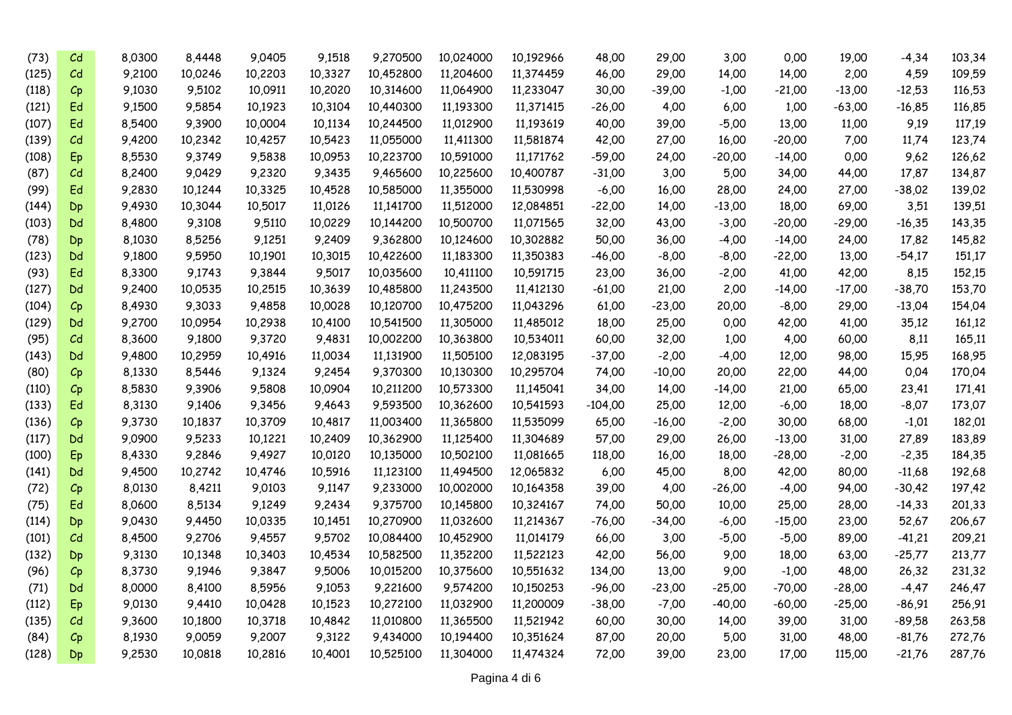| (73)  | C <sub>d</sub>          | 8,0300 | 8,4448  | 9,0405  | 9,1518  | 9,270500  | 10,024000 | 10,192966 | 48,00     | 29,00    | 3,00     | 0,00     | 19,00    | $-4,34$  | 103,34 |
|-------|-------------------------|--------|---------|---------|---------|-----------|-----------|-----------|-----------|----------|----------|----------|----------|----------|--------|
| (125) | C <sub>d</sub>          | 9,2100 | 10,0246 | 10,2203 | 10,3327 | 10,452800 | 11,204600 | 11,374459 | 46,00     | 29,00    | 14,00    | 14,00    | 2,00     | 4,59     | 109,59 |
| (118) | $C_{\mathsf{P}}$        | 9,1030 | 9,5102  | 10,0911 | 10,2020 | 10,314600 | 11,064900 | 11,233047 | 30,00     | $-39,00$ | $-1,00$  | $-21,00$ | $-13,00$ | $-12,53$ | 116,53 |
| (121) | Ed                      | 9,1500 | 9,5854  | 10,1923 | 10,3104 | 10,440300 | 11,193300 | 11,371415 | $-26,00$  | 4,00     | 6,00     | 1,00     | $-63,00$ | $-16,85$ | 116,85 |
| (107) | Ed                      | 8,5400 | 9,3900  | 10,0004 | 10,1134 | 10,244500 | 11,012900 | 11,193619 | 40,00     | 39,00    | $-5,00$  | 13,00    | 11,00    | 9,19     | 117,19 |
| (139) | C <sub>d</sub>          | 9,4200 | 10,2342 | 10,4257 | 10,5423 | 11,055000 | 11,411300 | 11,581874 | 42,00     | 27,00    | 16,00    | $-20,00$ | 7,00     | 11,74    | 123,74 |
| (108) | Ep                      | 8,5530 | 9,3749  | 9,5838  | 10,0953 | 10,223700 | 10,591000 | 11,171762 | $-59,00$  | 24,00    | $-20,00$ | $-14,00$ | 0,00     | 9,62     | 126,62 |
| (87)  | C <sub>d</sub>          | 8,2400 | 9,0429  | 9,2320  | 9,3435  | 9,465600  | 10,225600 | 10,400787 | $-31,00$  | 3,00     | 5,00     | 34,00    | 44,00    | 17,87    | 134,87 |
| (99)  | Ed                      | 9,2830 | 10,1244 | 10,3325 | 10,4528 | 10,585000 | 11,355000 | 11,530998 | $-6,00$   | 16,00    | 28,00    | 24,00    | 27,00    | $-38,02$ | 139,02 |
| (144) | Dp                      | 9,4930 | 10,3044 | 10,5017 | 11,0126 | 11,141700 | 11,512000 | 12,084851 | $-22,00$  | 14,00    | $-13,00$ | 18,00    | 69,00    | 3,51     | 139,51 |
| (103) | Dd                      | 8,4800 | 9,3108  | 9,5110  | 10,0229 | 10,144200 | 10,500700 | 11,071565 | 32,00     | 43,00    | $-3,00$  | $-20,00$ | $-29,00$ | $-16,35$ | 143,35 |
| (78)  | Dp                      | 8,1030 | 8,5256  | 9,1251  | 9,2409  | 9,362800  | 10,124600 | 10,302882 | 50,00     | 36,00    | $-4,00$  | $-14,00$ | 24,00    | 17,82    | 145,82 |
| (123) | Dd                      | 9,1800 | 9,5950  | 10,1901 | 10,3015 | 10,422600 | 11,183300 | 11,350383 | $-46,00$  | $-8,00$  | $-8,00$  | $-22,00$ | 13,00    | $-54,17$ | 151,17 |
| (93)  | Ed                      | 8,3300 | 9,1743  | 9,3844  | 9,5017  | 10,035600 | 10,411100 | 10,591715 | 23,00     | 36,00    | $-2,00$  | 41,00    | 42,00    | 8,15     | 152,15 |
| (127) | Dd                      | 9,2400 | 10,0535 | 10,2515 | 10,3639 | 10,485800 | 11,243500 | 11,412130 | $-61,00$  | 21,00    | 2,00     | $-14,00$ | $-17,00$ | $-38,70$ | 153,70 |
| (104) | $C_{p}$                 | 8,4930 | 9,3033  | 9,4858  | 10,0028 | 10,120700 | 10,475200 | 11,043296 | 61,00     | $-23,00$ | 20,00    | $-8,00$  | 29,00    | $-13,04$ | 154,04 |
| (129) | Dd                      | 9,2700 | 10,0954 | 10,2938 | 10,4100 | 10,541500 | 11,305000 | 11,485012 | 18,00     | 25,00    | 0,00     | 42,00    | 41,00    | 35,12    | 161,12 |
| (95)  | $\mathcal{C}\mathsf{d}$ | 8,3600 | 9,1800  | 9,3720  | 9,4831  | 10,002200 | 10,363800 | 10,534011 | 60,00     | 32,00    | 1,00     | 4,00     | 60,00    | 8,11     | 165,11 |
| (143) | Dd                      | 9,4800 | 10,2959 | 10,4916 | 11,0034 | 11,131900 | 11,505100 | 12,083195 | $-37,00$  | $-2,00$  | $-4,00$  | 12,00    | 98,00    | 15,95    | 168,95 |
| (80)  | $C_{\mathsf{P}}$        | 8,1330 | 8,5446  | 9,1324  | 9,2454  | 9,370300  | 10,130300 | 10,295704 | 74,00     | $-10,00$ | 20,00    | 22,00    | 44,00    | 0,04     | 170,04 |
| (110) | $c_{\mathsf{p}}$        | 8,5830 | 9,3906  | 9,5808  | 10,0904 | 10,211200 | 10,573300 | 11,145041 | 34,00     | 14,00    | $-14,00$ | 21,00    | 65,00    | 23,41    | 171,41 |
| (133) | Ed                      | 8,3130 | 9,1406  | 9,3456  | 9,4643  | 9,593500  | 10,362600 | 10,541593 | $-104,00$ | 25,00    | 12,00    | $-6,00$  | 18,00    | $-8,07$  | 173,07 |
| (136) | $C_{\mathsf{P}}$        | 9,3730 | 10,1837 | 10,3709 | 10,4817 | 11,003400 | 11,365800 | 11,535099 | 65,00     | $-16,00$ | $-2,00$  | 30,00    | 68,00    | $-1,01$  | 182,01 |
| (117) | Dd                      | 9,0900 | 9,5233  | 10,1221 | 10,2409 | 10,362900 | 11,125400 | 11,304689 | 57,00     | 29,00    | 26,00    | $-13,00$ | 31,00    | 27,89    | 183,89 |
| (100) | Ep                      | 8,4330 | 9,2846  | 9,4927  | 10,0120 | 10,135000 | 10,502100 | 11,081665 | 118,00    | 16,00    | 18,00    | $-28,00$ | $-2,00$  | $-2,35$  | 184,35 |
| (141) | Dd                      | 9,4500 | 10,2742 | 10,4746 | 10,5916 | 11,123100 | 11,494500 | 12,065832 | 6,00      | 45,00    | 8,00     | 42,00    | 80,00    | $-11,68$ | 192,68 |
| (72)  | $C_{\mathsf{P}}$        | 8,0130 | 8,4211  | 9,0103  | 9,1147  | 9,233000  | 10,002000 | 10,164358 | 39,00     | 4,00     | $-26,00$ | $-4,00$  | 94,00    | $-30,42$ | 197,42 |
| (75)  | Ed                      | 8,0600 | 8,5134  | 9,1249  | 9,2434  | 9,375700  | 10,145800 | 10,324167 | 74,00     | 50,00    | 10,00    | 25,00    | 28,00    | $-14,33$ | 201,33 |
| (114) | Dp                      | 9,0430 | 9,4450  | 10,0335 | 10,1451 | 10,270900 | 11,032600 | 11,214367 | $-76,00$  | $-34,00$ | $-6,00$  | $-15,00$ | 23,00    | 52,67    | 206,67 |
| (101) | $\mathcal{C}\mathsf{d}$ | 8,4500 | 9,2706  | 9,4557  | 9,5702  | 10,084400 | 10,452900 | 11,014179 | 66,00     | 3,00     | $-5,00$  | $-5,00$  | 89,00    | $-41,21$ | 209,21 |
| (132) | Dp                      | 9,3130 | 10,1348 | 10,3403 | 10,4534 | 10,582500 | 11,352200 | 11,522123 | 42,00     | 56,00    | 9,00     | 18,00    | 63,00    | $-25,77$ | 213,77 |
| (96)  | $C_{\mathsf{P}}$        | 8,3730 | 9,1946  | 9,3847  | 9,5006  | 10,015200 | 10,375600 | 10,551632 | 134,00    | 13,00    | 9,00     | $-1,00$  | 48,00    | 26,32    | 231,32 |
| (71)  | Dd                      | 8,0000 | 8,4100  | 8,5956  | 9,1053  | 9,221600  | 9,574200  | 10,150253 | $-96,00$  | $-23,00$ | $-25,00$ | $-70,00$ | $-28,00$ | $-4,47$  | 246,47 |
| (112) | Ep                      | 9,0130 | 9,4410  | 10,0428 | 10,1523 | 10,272100 | 11,032900 | 11,200009 | $-38,00$  | $-7,00$  | $-40,00$ | $-60,00$ | $-25,00$ | $-86,91$ | 256,91 |
| (135) | Cd                      | 9,3600 | 10,1800 | 10,3718 | 10,4842 | 11,010800 | 11,365500 | 11,521942 | 60,00     | 30,00    | 14,00    | 39,00    | 31,00    | $-89,58$ | 263,58 |
| (84)  | $C_{p}$                 | 8,1930 | 9,0059  | 9,2007  | 9,3122  | 9,434000  | 10,194400 | 10,351624 | 87,00     | 20,00    | 5,00     | 31,00    | 48,00    | $-81,76$ | 272,76 |
| (128) | Dp                      | 9,2530 | 10,0818 | 10,2816 | 10.4001 | 10,525100 | 11,304000 | 11,474324 | 72,00     | 39,00    | 23,00    | 17,00    | 115,00   | $-21,76$ | 287,76 |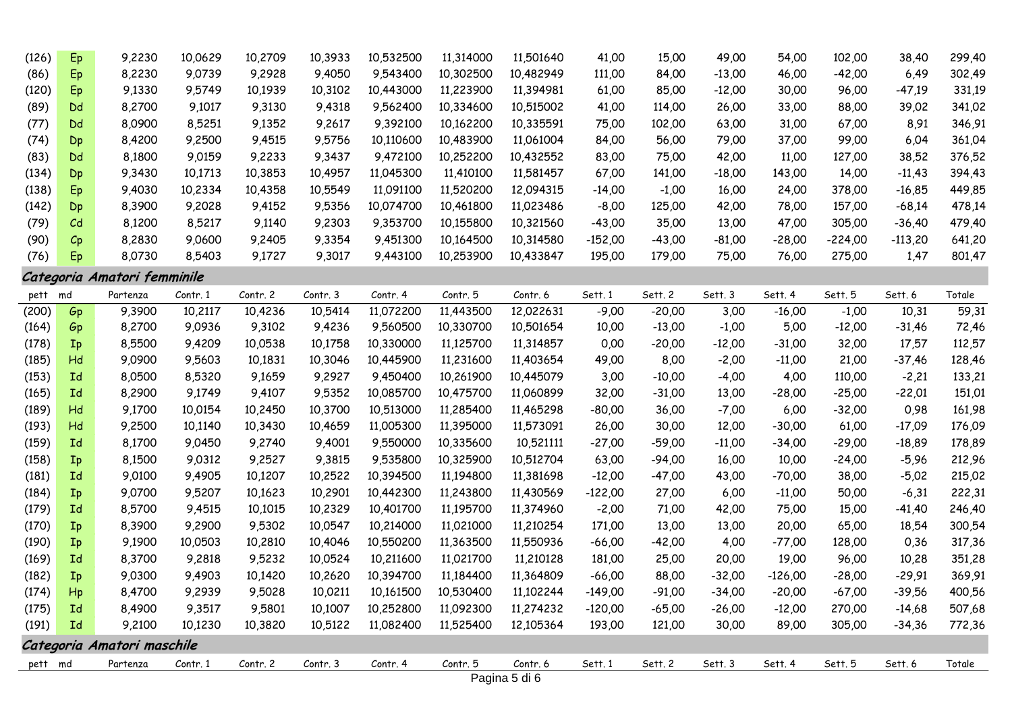| (126)   | Ep               | 9,2230                      | 10,0629  | 10,2709  | 10,3933  | 10,532500 | 11,314000 | 11,501640     | 41,00     | 15,00    | 49,00    | 54,00     | 102,00    | 38,40     | 299,40 |
|---------|------------------|-----------------------------|----------|----------|----------|-----------|-----------|---------------|-----------|----------|----------|-----------|-----------|-----------|--------|
| (86)    | Ep               | 8,2230                      | 9,0739   | 9,2928   | 9,4050   | 9,543400  | 10,302500 | 10,482949     | 111,00    | 84,00    | $-13,00$ | 46,00     | $-42,00$  | 6,49      | 302,49 |
| (120)   | Eр               | 9,1330                      | 9,5749   | 10,1939  | 10,3102  | 10,443000 | 11,223900 | 11,394981     | 61,00     | 85,00    | $-12,00$ | 30,00     | 96,00     | $-47,19$  | 331,19 |
| (89)    | Dd               | 8,2700                      | 9,1017   | 9,3130   | 9,4318   | 9,562400  | 10,334600 | 10,515002     | 41,00     | 114,00   | 26,00    | 33,00     | 88,00     | 39,02     | 341,02 |
| (77)    | Dd               | 8,0900                      | 8,5251   | 9,1352   | 9,2617   | 9,392100  | 10,162200 | 10,335591     | 75,00     | 102,00   | 63,00    | 31,00     | 67,00     | 8,91      | 346,91 |
| (74)    | Dp               | 8,4200                      | 9,2500   | 9,4515   | 9,5756   | 10,110600 | 10,483900 | 11,061004     | 84,00     | 56,00    | 79,00    | 37,00     | 99,00     | 6,04      | 361,04 |
| (83)    | Dd               | 8,1800                      | 9,0159   | 9,2233   | 9,3437   | 9,472100  | 10,252200 | 10,432552     | 83,00     | 75,00    | 42,00    | 11,00     | 127,00    | 38,52     | 376,52 |
| (134)   | Dp               | 9,3430                      | 10,1713  | 10,3853  | 10,4957  | 11,045300 | 11,410100 | 11,581457     | 67,00     | 141,00   | $-18,00$ | 143,00    | 14,00     | $-11,43$  | 394,43 |
| (138)   | Eр               | 9,4030                      | 10,2334  | 10,4358  | 10,5549  | 11,091100 | 11,520200 | 12,094315     | $-14,00$  | $-1,00$  | 16,00    | 24,00     | 378,00    | $-16,85$  | 449,85 |
| (142)   | Dp               | 8,3900                      | 9,2028   | 9,4152   | 9,5356   | 10,074700 | 10,461800 | 11,023486     | $-8,00$   | 125,00   | 42,00    | 78,00     | 157,00    | $-68,14$  | 478,14 |
| (79)    | C <sub>d</sub>   | 8,1200                      | 8,5217   | 9,1140   | 9,2303   | 9,353700  | 10,155800 | 10,321560     | $-43,00$  | 35,00    | 13,00    | 47,00     | 305,00    | $-36,40$  | 479,40 |
| (90)    | $C_{\mathsf{P}}$ | 8,2830                      | 9,0600   | 9,2405   | 9,3354   | 9,451300  | 10,164500 | 10,314580     | $-152,00$ | $-43,00$ | $-81,00$ | $-28,00$  | $-224,00$ | $-113,20$ | 641,20 |
| (76)    | Ep               | 8,0730                      | 8,5403   | 9,1727   | 9,3017   | 9,443100  | 10,253900 | 10,433847     | 195,00    | 179,00   | 75,00    | 76,00     | 275,00    | 1,47      | 801,47 |
|         |                  | Categoria Amatori femminile |          |          |          |           |           |               |           |          |          |           |           |           |        |
| pett    | md               | Partenza                    | Contr. 1 | Contr. 2 | Contr. 3 | Contr. 4  | Contr. 5  | Contr. 6      | Sett. 1   | Sett. 2  | Sett. 3  | Sett. 4   | Sett. 5   | Sett. 6   | Totale |
| (200)   | Gp               | 9,3900                      | 10,2117  | 10,4236  | 10,5414  | 11,072200 | 11,443500 | 12,022631     | $-9,00$   | $-20,00$ | 3,00     | $-16,00$  | $-1,00$   | 10,31     | 59,31  |
| (164)   | Gp               | 8,2700                      | 9,0936   | 9,3102   | 9,4236   | 9,560500  | 10,330700 | 10,501654     | 10,00     | $-13,00$ | $-1,00$  | 5,00      | $-12,00$  | -31,46    | 72,46  |
| (178)   | Ip               | 8,5500                      | 9,4209   | 10,0538  | 10,1758  | 10,330000 | 11,125700 | 11,314857     | 0,00      | $-20,00$ | $-12,00$ | $-31,00$  | 32,00     | 17,57     | 112,57 |
| (185)   | Hd               | 9,0900                      | 9,5603   | 10,1831  | 10,3046  | 10,445900 | 11,231600 | 11,403654     | 49,00     | 8,00     | $-2,00$  | $-11,00$  | 21,00     | $-37,46$  | 128,46 |
| (153)   | Id               | 8,0500                      | 8,5320   | 9,1659   | 9,2927   | 9,450400  | 10,261900 | 10,445079     | 3,00      | $-10,00$ | $-4,00$  | 4,00      | 110,00    | $-2,21$   | 133,21 |
| (165)   | Id               | 8,2900                      | 9,1749   | 9,4107   | 9,5352   | 10,085700 | 10,475700 | 11,060899     | 32,00     | $-31,00$ | 13,00    | $-28,00$  | $-25,00$  | $-22,01$  | 151,01 |
| (189)   | Hd               | 9,1700                      | 10,0154  | 10,2450  | 10,3700  | 10,513000 | 11,285400 | 11,465298     | $-80,00$  | 36,00    | $-7,00$  | 6,00      | $-32,00$  | 0,98      | 161,98 |
| (193)   | Hd               | 9,2500                      | 10,1140  | 10,3430  | 10,4659  | 11,005300 | 11,395000 | 11,573091     | 26,00     | 30,00    | 12,00    | $-30,00$  | 61,00     | $-17,09$  | 176,09 |
| (159)   | Id               | 8,1700                      | 9,0450   | 9,2740   | 9,4001   | 9,550000  | 10,335600 | 10,521111     | $-27,00$  | $-59,00$ | $-11,00$ | $-34,00$  | $-29,00$  | -18,89    | 178,89 |
| (158)   | Ip               | 8,1500                      | 9,0312   | 9,2527   | 9,3815   | 9,535800  | 10,325900 | 10,512704     | 63,00     | $-94,00$ | 16,00    | 10,00     | $-24,00$  | $-5,96$   | 212,96 |
| (181)   | Id               | 9,0100                      | 9,4905   | 10,1207  | 10,2522  | 10,394500 | 11,194800 | 11,381698     | $-12,00$  | $-47,00$ | 43,00    | $-70,00$  | 38,00     | $-5,02$   | 215,02 |
| (184)   | $I_{p}$          | 9,0700                      | 9,5207   | 10,1623  | 10,2901  | 10,442300 | 11,243800 | 11,430569     | $-122,00$ | 27,00    | 6,00     | $-11,00$  | 50,00     | $-6,31$   | 222,31 |
| (179)   | Id               | 8,5700                      | 9,4515   | 10,1015  | 10,2329  | 10,401700 | 11,195700 | 11,374960     | $-2,00$   | 71,00    | 42,00    | 75,00     | 15,00     | -41,40    | 246,40 |
| (170)   | Ip               | 8,3900                      | 9,2900   | 9,5302   | 10,0547  | 10,214000 | 11,021000 | 11,210254     | 171,00    | 13,00    | 13,00    | 20,00     | 65,00     | 18,54     | 300,54 |
| (190)   | Ip               | 9,1900                      | 10,0503  | 10,2810  | 10,4046  | 10,550200 | 11,363500 | 11,550936     | $-66,00$  | $-42,00$ | 4,00     | $-77,00$  | 128,00    | 0,36      | 317,36 |
| (169)   | Id               | 8,3700                      | 9,2818   | 9,5232   | 10,0524  | 10,211600 | 11,021700 | 11,210128     | 181,00    | 25,00    | 20,00    | 19,00     | 96,00     | 10,28     | 351,28 |
| (182)   | Ip               | 9,0300                      | 9,4903   | 10,1420  | 10,2620  | 10,394700 | 11,184400 | 11,364809     | $-66,00$  | 88,00    | $-32,00$ | $-126,00$ | $-28,00$  | $-29,91$  | 369,91 |
| (174)   | Hp               | 8,4700                      | 9,2939   | 9,5028   | 10,0211  | 10,161500 | 10,530400 | 11,102244     | $-149,00$ | $-91,00$ | $-34,00$ | $-20,00$  | $-67,00$  | $-39,56$  | 400,56 |
| (175)   | Id               | 8,4900                      | 9,3517   | 9,5801   | 10,1007  | 10,252800 | 11,092300 | 11,274232     | $-120,00$ | $-65,00$ | $-26,00$ | $-12,00$  | 270,00    | $-14,68$  | 507,68 |
| (191)   | Id               | 9,2100                      | 10,1230  | 10,3820  | 10,5122  | 11,082400 | 11,525400 | 12,105364     | 193,00    | 121,00   | 30,00    | 89,00     | 305,00    | $-34,36$  | 772,36 |
|         |                  | Categoria Amatori maschile  |          |          |          |           |           |               |           |          |          |           |           |           |        |
| pett md |                  | Partenza                    | Contr. 1 | Contr. 2 | Contr. 3 | Contr. 4  | Contr. 5  | Contr. 6      | Sett. 1   | Sett. 2  | Sett. 3  | Sett. 4   | Sett. 5   | Sett. 6   | Totale |
|         |                  |                             |          |          |          |           |           | Pagina 5 di 6 |           |          |          |           |           |           |        |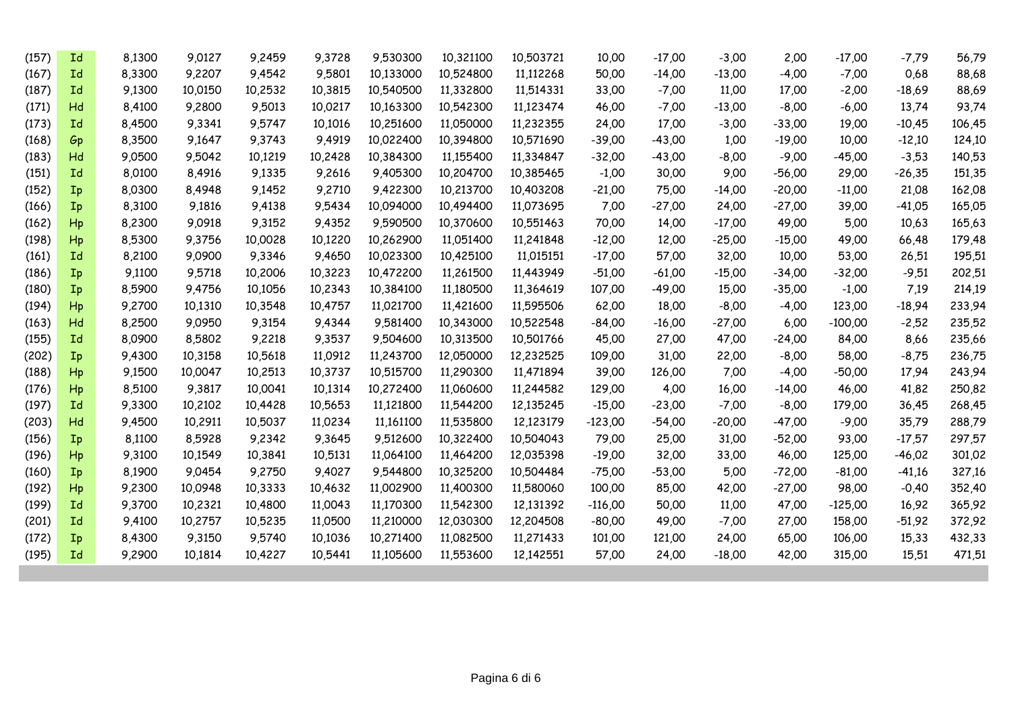| (157) | Id             | 8,1300 | 9,0127  | 9,2459  | 9,3728  | 9,530300  | 10,321100 | 10,503721 | 10,00     | $-17,00$ | $-3,00$  | 2,00     | $-17,00$  | $-7,79$  | 56,79  |
|-------|----------------|--------|---------|---------|---------|-----------|-----------|-----------|-----------|----------|----------|----------|-----------|----------|--------|
| (167) | Id             | 8,3300 | 9,2207  | 9,4542  | 9,5801  | 10,133000 | 10,524800 | 11,112268 | 50,00     | $-14,00$ | $-13,00$ | $-4,00$  | $-7,00$   | 0,68     | 88,68  |
| (187) | Id             | 9,1300 | 10,0150 | 10,2532 | 10,3815 | 10,540500 | 11,332800 | 11,514331 | 33,00     | $-7,00$  | 11,00    | 17,00    | $-2,00$   | $-18,69$ | 88,69  |
| (171) | Hd             | 8,4100 | 9.2800  | 9,5013  | 10.0217 | 10,163300 | 10,542300 | 11,123474 | 46,00     | $-7,00$  | $-13,00$ | $-8,00$  | $-6,00$   | 13,74    | 93,74  |
| (173) | Id             | 8,4500 | 9,3341  | 9,5747  | 10,1016 | 10,251600 | 11,050000 | 11,232355 | 24,00     | 17,00    | $-3,00$  | $-33,00$ | 19,00     | $-10,45$ | 106,45 |
| (168) | Gp             | 8,3500 | 9,1647  | 9,3743  | 9,4919  | 10,022400 | 10,394800 | 10,571690 | $-39,00$  | $-43,00$ | 1,00     | $-19,00$ | 10,00     | $-12,10$ | 124,10 |
| (183) | Hd             | 9,0500 | 9,5042  | 10,1219 | 10,2428 | 10,384300 | 11,155400 | 11,334847 | $-32,00$  | $-43,00$ | $-8,00$  | $-9,00$  | $-45,00$  | $-3,53$  | 140,53 |
| (151) | Id             | 8,0100 | 8,4916  | 9,1335  | 9,2616  | 9,405300  | 10,204700 | 10,385465 | $-1,00$   | 30,00    | 9,00     | $-56,00$ | 29,00     | $-26,35$ | 151,35 |
| (152) | Ip             | 8,0300 | 8,4948  | 9,1452  | 9,2710  | 9,422300  | 10,213700 | 10,403208 | $-21,00$  | 75,00    | $-14,00$ | $-20,00$ | $-11,00$  | 21,08    | 162,08 |
| (166) | Ip             | 8,3100 | 9,1816  | 9,4138  | 9,5434  | 10,094000 | 10,494400 | 11,073695 | 7,00      | $-27,00$ | 24,00    | $-27,00$ | 39,00     | -41,05   | 165,05 |
| (162) | Hp             | 8,2300 | 9,0918  | 9,3152  | 9,4352  | 9,590500  | 10,370600 | 10,551463 | 70,00     | 14,00    | $-17,00$ | 49,00    | 5,00      | 10,63    | 165,63 |
| (198) | Hp             | 8,5300 | 9,3756  | 10,0028 | 10,1220 | 10,262900 | 11,051400 | 11,241848 | $-12,00$  | 12,00    | $-25,00$ | $-15,00$ | 49,00     | 66,48    | 179,48 |
| (161) | Id             | 8,2100 | 9,0900  | 9,3346  | 9,4650  | 10,023300 | 10,425100 | 11,015151 | $-17,00$  | 57,00    | 32,00    | 10,00    | 53,00     | 26,51    | 195,51 |
| (186) | Ip             | 9,1100 | 9,5718  | 10,2006 | 10,3223 | 10,472200 | 11,261500 | 11,443949 | $-51,00$  | $-61,00$ | $-15,00$ | $-34,00$ | $-32,00$  | $-9,51$  | 202,51 |
| (180) | Ip             | 8,5900 | 9,4756  | 10,1056 | 10,2343 | 10,384100 | 11,180500 | 11,364619 | 107,00    | $-49,00$ | 15,00    | $-35,00$ | $-1,00$   | 7,19     | 214,19 |
| (194) | Hp             | 9,2700 | 10,1310 | 10,3548 | 10,4757 | 11,021700 | 11,421600 | 11,595506 | 62,00     | 18,00    | $-8,00$  | $-4,00$  | 123,00    | $-18,94$ | 233,94 |
| (163) | Hd             | 8,2500 | 9,0950  | 9,3154  | 9,4344  | 9,581400  | 10,343000 | 10,522548 | $-84,00$  | $-16,00$ | $-27,00$ | 6,00     | $-100,00$ | $-2,52$  | 235,52 |
| (155) | Id             | 8,0900 | 8,5802  | 9,2218  | 9,3537  | 9,504600  | 10,313500 | 10,501766 | 45,00     | 27,00    | 47,00    | $-24,00$ | 84,00     | 8,66     | 235,66 |
| (202) | Ip             | 9,4300 | 10,3158 | 10,5618 | 11,0912 | 11,243700 | 12,050000 | 12,232525 | 109,00    | 31,00    | 22,00    | $-8,00$  | 58,00     | $-8,75$  | 236,75 |
| (188) | Hp             | 9,1500 | 10.0047 | 10,2513 | 10,3737 | 10,515700 | 11,290300 | 11,471894 | 39,00     | 126,00   | 7,00     | $-4,00$  | $-50,00$  | 17,94    | 243,94 |
| (176) | H <sub>p</sub> | 8,5100 | 9,3817  | 10,0041 | 10,1314 | 10,272400 | 11,060600 | 11,244582 | 129,00    | 4,00     | 16,00    | $-14,00$ | 46,00     | 41,82    | 250,82 |
| (197) | Id             | 9,3300 | 10,2102 | 10,4428 | 10,5653 | 11,121800 | 11,544200 | 12,135245 | $-15,00$  | $-23,00$ | $-7,00$  | $-8,00$  | 179,00    | 36,45    | 268,45 |
| (203) | Hd             | 9,4500 | 10,2911 | 10,5037 | 11,0234 | 11,161100 | 11,535800 | 12,123179 | $-123,00$ | $-54,00$ | $-20,00$ | $-47,00$ | $-9,00$   | 35,79    | 288,79 |
| (156) | Ip             | 8,1100 | 8,5928  | 9,2342  | 9,3645  | 9,512600  | 10,322400 | 10,504043 | 79,00     | 25,00    | 31,00    | $-52,00$ | 93,00     | $-17,57$ | 297,57 |
| (196) | Hp             | 9,3100 | 10,1549 | 10,3841 | 10,5131 | 11,064100 | 11,464200 | 12,035398 | $-19,00$  | 32,00    | 33,00    | 46,00    | 125,00    | $-46,02$ | 301,02 |
| (160) | Ip             | 8,1900 | 9,0454  | 9,2750  | 9,4027  | 9,544800  | 10,325200 | 10,504484 | $-75,00$  | $-53,00$ | 5,00     | $-72,00$ | $-81,00$  | -41,16   | 327,16 |
| (192) | Hp             | 9,2300 | 10.0948 | 10,3333 | 10,4632 | 11,002900 | 11,400300 | 11,580060 | 100,00    | 85,00    | 42,00    | $-27,00$ | 98,00     | $-0.40$  | 352,40 |
| (199) | Id             | 9,3700 | 10,2321 | 10,4800 | 11,0043 | 11,170300 | 11,542300 | 12,131392 | -116,00   | 50,00    | 11,00    | 47,00    | $-125,00$ | 16,92    | 365,92 |
| (201) | <b>Id</b>      | 9,4100 | 10.2757 | 10,5235 | 11,0500 | 11,210000 | 12,030300 | 12,204508 | $-80,00$  | 49,00    | $-7,00$  | 27,00    | 158,00    | $-51,92$ | 372,92 |
| (172) | $I_{p}$        | 8,4300 | 9,3150  | 9,5740  | 10,1036 | 10,271400 | 11,082500 | 11,271433 | 101,00    | 121,00   | 24,00    | 65,00    | 106,00    | 15,33    | 432,33 |
| (195) | <b>Id</b>      | 9,2900 | 10,1814 | 10,4227 | 10,5441 | 11,105600 | 11,553600 | 12,142551 | 57,00     | 24,00    | $-18,00$ | 42,00    | 315,00    | 15,51    | 471,51 |